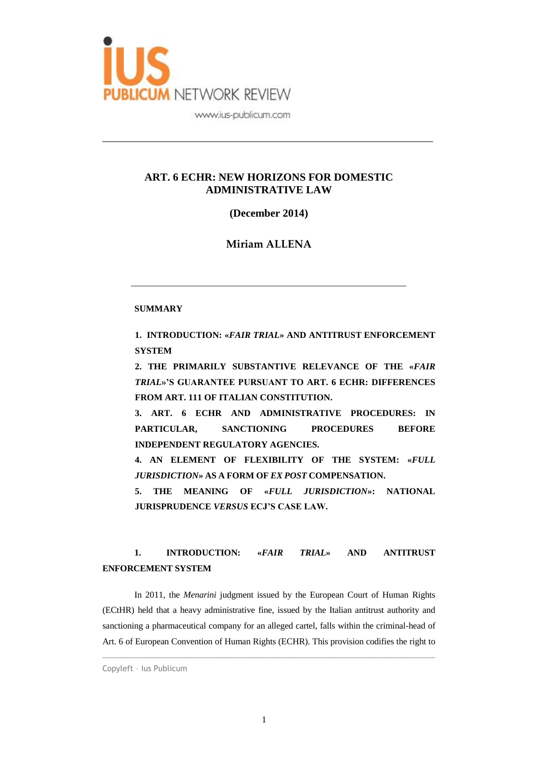

#### **ART. 6 ECHR: NEW HORIZONS FOR DOMESTIC ADMINISTRATIVE LAW**

\_\_\_\_\_\_\_\_\_\_\_\_\_\_\_\_\_\_\_\_\_\_\_\_\_\_\_\_\_\_\_\_\_\_\_\_\_\_\_\_\_\_\_\_\_\_\_\_\_\_\_\_\_\_\_\_\_\_\_\_\_

**(December 2014)**

**Miriam ALLENA**

\_\_\_\_\_\_\_\_\_\_\_\_\_\_\_\_\_\_\_\_\_\_\_\_\_\_\_\_\_\_\_\_\_\_\_\_\_\_\_\_\_\_\_\_\_\_\_\_\_\_\_\_\_\_\_\_\_\_\_\_\_

#### **SUMMARY**

**1. INTRODUCTION: «***FAIR TRIAL***» AND ANTITRUST ENFORCEMENT SYSTEM**

**2. THE PRIMARILY SUBSTANTIVE RELEVANCE OF THE «***FAIR TRIAL***»'S GUARANTEE PURSUANT TO ART. 6 ECHR: DIFFERENCES FROM ART. 111 OF ITALIAN CONSTITUTION.**

**3. ART. 6 ECHR AND ADMINISTRATIVE PROCEDURES: IN PARTICULAR, SANCTIONING PROCEDURES BEFORE INDEPENDENT REGULATORY AGENCIES.**

**4. AN ELEMENT OF FLEXIBILITY OF THE SYSTEM: «***FULL JURISDICTION***» AS A FORM OF** *EX POST* **COMPENSATION.**

**5. THE MEANING OF «***FULL JURISDICTION***»: NATIONAL JURISPRUDENCE** *VERSUS* **ECJ'S CASE LAW.**

## **1. INTRODUCTION: «***FAIR TRIAL***» AND ANTITRUST ENFORCEMENT SYSTEM**

In 2011, the *Menarini* judgment issued by the European Court of Human Rights (ECtHR) held that a heavy administrative fine, issued by the Italian antitrust authority and sanctioning a pharmaceutical company for an alleged cartel, falls within the criminal-head of Art. 6 of European Convention of Human Rights (ECHR). This provision codifies the right to

 $\_$  ,  $\_$  ,  $\_$  ,  $\_$  ,  $\_$  ,  $\_$  ,  $\_$  ,  $\_$  ,  $\_$  ,  $\_$  ,  $\_$  ,  $\_$  ,  $\_$  ,  $\_$  ,  $\_$  ,  $\_$  ,  $\_$  ,  $\_$  ,  $\_$  ,  $\_$  ,  $\_$  ,  $\_$  ,  $\_$  ,  $\_$  ,  $\_$  ,  $\_$  ,  $\_$  ,  $\_$  ,  $\_$  ,  $\_$  ,  $\_$  ,  $\_$  ,  $\_$  ,  $\_$  ,  $\_$  ,  $\_$  ,  $\_$  ,

Copyleft – Ius Publicum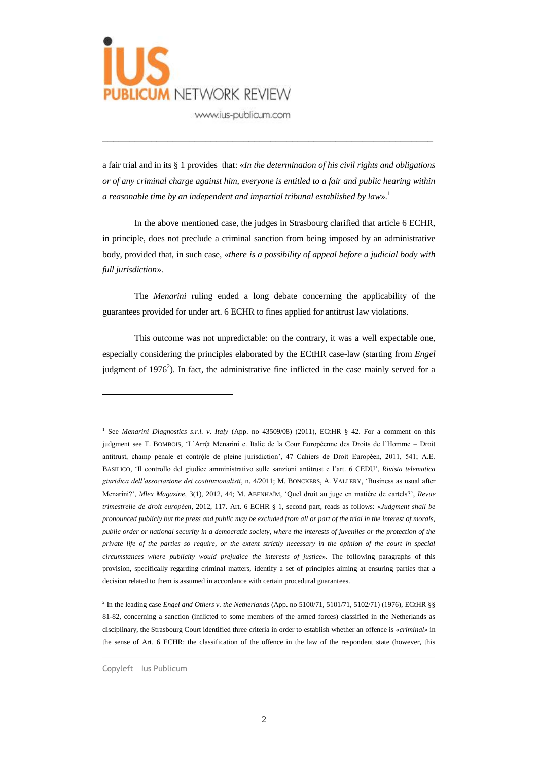

a fair trial and in its § 1 provides that: «*In the determination of his civil rights and obligations or of any criminal charge against him, everyone is entitled to a fair and public hearing within a reasonable time by an independent and impartial tribunal established by law*». 1

\_\_\_\_\_\_\_\_\_\_\_\_\_\_\_\_\_\_\_\_\_\_\_\_\_\_\_\_\_\_\_\_\_\_\_\_\_\_\_\_\_\_\_\_\_\_\_\_\_\_\_\_\_\_\_\_\_\_\_\_\_

In the above mentioned case, the judges in Strasbourg clarified that article 6 ECHR, in principle, does not preclude a criminal sanction from being imposed by an administrative body, provided that, in such case, «*there is a possibility of appeal before a judicial body with full jurisdiction*».

The *Menarini* ruling ended a long debate concerning the applicability of the guarantees provided for under art. 6 ECHR to fines applied for antitrust law violations.

This outcome was not unpredictable: on the contrary, it was a well expectable one, especially considering the principles elaborated by the ECtHR case-law (starting from *Engel* judgment of 1976<sup>2</sup>). In fact, the administrative fine inflicted in the case mainly served for a

2 In the leading case *Engel and Others v. the Netherlands* (App. no 5100/71, 5101/71, 5102/71) (1976), ECtHR §§ 81-82, concerning a sanction (inflicted to some members of the armed forces) classified in the Netherlands as disciplinary, the Strasbourg Court identified three criteria in order to establish whether an offence is «*criminal*» in the sense of Art. 6 ECHR: the classification of the offence in the law of the respondent state (however, this

 $\_$  ,  $\_$  ,  $\_$  ,  $\_$  ,  $\_$  ,  $\_$  ,  $\_$  ,  $\_$  ,  $\_$  ,  $\_$  ,  $\_$  ,  $\_$  ,  $\_$  ,  $\_$  ,  $\_$  ,  $\_$  ,  $\_$  ,  $\_$  ,  $\_$  ,  $\_$  ,  $\_$  ,  $\_$  ,  $\_$  ,  $\_$  ,  $\_$  ,  $\_$  ,  $\_$  ,  $\_$  ,  $\_$  ,  $\_$  ,  $\_$  ,  $\_$  ,  $\_$  ,  $\_$  ,  $\_$  ,  $\_$  ,  $\_$  ,

<sup>&</sup>lt;sup>1</sup> See *Menarini Diagnostics s.r.l. v. Italy* (App. no 43509/08) (2011), ECtHR § 42. For a comment on this judgment see T. BOMBOIS, 'L'Arrệt Menarini c. Italie de la Cour Européenne des Droits de l'Homme – Droit antitrust, champ pénale et contrộle de pleine jurisdiction', 47 Cahiers de Droit Européen, 2011, 541; A.E. BASILICO, 'Il controllo del giudice amministrativo sulle sanzioni antitrust e l'art. 6 CEDU', *Rivista telematica giuridica dell'associazione dei costituzionalisti*, n. 4/2011; M. BONCKERS, A. VALLERY, 'Business as usual after Menarini?', *Mlex Magazine*, 3(1), 2012, 44; M. ABENHAÏM, 'Quel droit au juge en matière de cartels?', *Revue trimestrelle de droit européen*, 2012, 117. Art. 6 ECHR § 1, second part, reads as follows: «*Judgment shall be pronounced publicly but the press and public may be excluded from all or part of the trial in the interest of morals, public order or national security in a democratic society, where the interests of juveniles or the protection of the private life of the parties so require, or the extent strictly necessary in the opinion of the court in special circumstances where publicity would prejudice the interests of justice*». The following paragraphs of this provision, specifically regarding criminal matters, identify a set of principles aiming at ensuring parties that a decision related to them is assumed in accordance with certain procedural guarantees.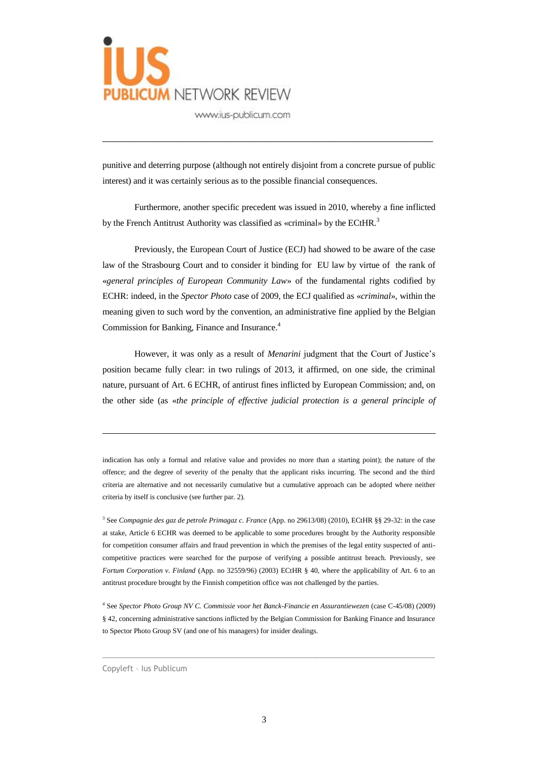

punitive and deterring purpose (although not entirely disjoint from a concrete pursue of public interest) and it was certainly serious as to the possible financial consequences.

\_\_\_\_\_\_\_\_\_\_\_\_\_\_\_\_\_\_\_\_\_\_\_\_\_\_\_\_\_\_\_\_\_\_\_\_\_\_\_\_\_\_\_\_\_\_\_\_\_\_\_\_\_\_\_\_\_\_\_\_\_

Furthermore, another specific precedent was issued in 2010, whereby a fine inflicted by the French Antitrust Authority was classified as «criminal» by the ECtHR.<sup>3</sup>

Previously, the European Court of Justice (ECJ) had showed to be aware of the case law of the Strasbourg Court and to consider it binding for EU law by virtue of the rank of «*general principles of European Community Law*» of the fundamental rights codified by ECHR: indeed, in the *Spector Photo* case of 2009, the ECJ qualified as «*criminal*», within the meaning given to such word by the convention, an administrative fine applied by the Belgian Commission for Banking, Finance and Insurance.<sup>4</sup>

However, it was only as a result of *Menarini* judgment that the Court of Justice's position became fully clear: in two rulings of 2013, it affirmed, on one side, the criminal nature, pursuant of Art. 6 ECHR, of antirust fines inflicted by European Commission; and, on the other side (as «*the principle of effective judicial protection is a general principle of* 

indication has only a formal and relative value and provides no more than a starting point); the nature of the offence; and the degree of severity of the penalty that the applicant risks incurring. The second and the third criteria are alternative and not necessarily cumulative but a cumulative approach can be adopted where neither criteria by itself is conclusive (see further par. 2).

3 See *Compagnie des gaz de petrole Primagaz c. France* (App. no 29613/08) (2010), ECtHR §§ 29-32: in the case at stake, Article 6 ECHR was deemed to be applicable to some procedures brought by the Authority responsible for competition consumer affairs and fraud prevention in which the premises of the legal entity suspected of anticompetitive practices were searched for the purpose of verifying a possible antitrust breach. Previously, see *Fortum Corporation v. Finland* (App. no 32559/96) (2003) ECtHR § 40, where the applicability of Art. 6 to an antitrust procedure brought by the Finnish competition office was not challenged by the parties.

4 See *Spector Photo Group NV C. Commissie voor het Banck-Financie en Assurantiewezen* (case C-45/08) (2009) § 42, concerning administrative sanctions inflicted by the Belgian Commission for Banking Finance and Insurance to Spector Photo Group SV (and one of his managers) for insider dealings.

 $\_$  ,  $\_$  ,  $\_$  ,  $\_$  ,  $\_$  ,  $\_$  ,  $\_$  ,  $\_$  ,  $\_$  ,  $\_$  ,  $\_$  ,  $\_$  ,  $\_$  ,  $\_$  ,  $\_$  ,  $\_$  ,  $\_$  ,  $\_$  ,  $\_$  ,  $\_$  ,  $\_$  ,  $\_$  ,  $\_$  ,  $\_$  ,  $\_$  ,  $\_$  ,  $\_$  ,  $\_$  ,  $\_$  ,  $\_$  ,  $\_$  ,  $\_$  ,  $\_$  ,  $\_$  ,  $\_$  ,  $\_$  ,  $\_$  ,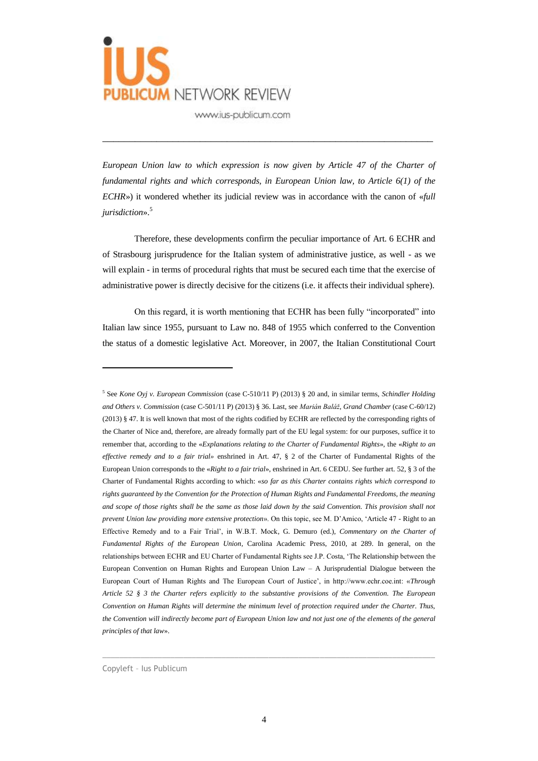

*European Union law to which expression is now given by Article 47 of the Charter of fundamental rights and which corresponds, in European Union law, to Article 6(1) of the ECHR*») it wondered whether its judicial review was in accordance with the canon of «*full jurisdiction*». 5

\_\_\_\_\_\_\_\_\_\_\_\_\_\_\_\_\_\_\_\_\_\_\_\_\_\_\_\_\_\_\_\_\_\_\_\_\_\_\_\_\_\_\_\_\_\_\_\_\_\_\_\_\_\_\_\_\_\_\_\_\_

Therefore, these developments confirm the peculiar importance of Art. 6 ECHR and of Strasbourg jurisprudence for the Italian system of administrative justice, as well - as we will explain - in terms of procedural rights that must be secured each time that the exercise of administrative power is directly decisive for the citizens (i.e. it affects their individual sphere).

On this regard, it is worth mentioning that ECHR has been fully "incorporated" into Italian law since 1955, pursuant to Law no. 848 of 1955 which conferred to the Convention the status of a domestic legislative Act. Moreover, in 2007, the Italian Constitutional Court

 $\overline{a}$ 

 $\_$  ,  $\_$  ,  $\_$  ,  $\_$  ,  $\_$  ,  $\_$  ,  $\_$  ,  $\_$  ,  $\_$  ,  $\_$  ,  $\_$  ,  $\_$  ,  $\_$  ,  $\_$  ,  $\_$  ,  $\_$  ,  $\_$  ,  $\_$  ,  $\_$  ,  $\_$  ,  $\_$  ,  $\_$  ,  $\_$  ,  $\_$  ,  $\_$  ,  $\_$  ,  $\_$  ,  $\_$  ,  $\_$  ,  $\_$  ,  $\_$  ,  $\_$  ,  $\_$  ,  $\_$  ,  $\_$  ,  $\_$  ,  $\_$  ,

<sup>5</sup> See *Kone Oyj v. European Commission* (case C-510/11 P) (2013) § 20 and, in similar terms, *Schindler Holding and Others v. Commission* (case C-501/11 P) (2013) § 36. Last, see *Marián Baláž*, *Grand Chamber* (case C-60/12) (2013) § 47. It is well known that most of the rights codified by ECHR are reflected by the corresponding rights of the Charter of Nice and, therefore, are already formally part of the EU legal system: for our purposes, suffice it to remember that, according to the «*Explanations relating to the Charter of Fundamental Rights*», the «*Right to an effective remedy and to a fair trial»* enshrined in Art. 47, § 2 of the Charter of Fundamental Rights of the European Union corresponds to the «*Right to a fair trial*», enshrined in Art. 6 CEDU. See further art. 52, § 3 of the Charter of Fundamental Rights according to which: «*so far as this Charter contains rights which correspond to rights guaranteed by the Convention for the Protection of Human Rights and Fundamental Freedoms, the meaning*  and scope of those rights shall be the same as those laid down by the said Convention. This provision shall not *prevent Union law providing more extensive protection*». On this topic, see M. D'Amico, 'Article 47 - Right to an Effective Remedy and to a Fair Trial', in W.B.T. Mock, G. Demuro (ed.), *Commentary on the Charter of Fundamental Rights of the European Union*, Carolina Academic Press, 2010, at 289. In general, on the relationships between ECHR and EU Charter of Fundamental Rights see J.P. Costa, 'The Relationship between the European Convention on Human Rights and European Union Law – A Jurisprudential Dialogue between the European Court of Human Rights and The European Court of Justice', in http://www.echr.coe.int: «*Through Article 52 § 3 the Charter refers explicitly to the substantive provisions of the Convention. The European Convention on Human Rights will determine the minimum level of protection required under the Charter. Thus, the Convention will indirectly become part of European Union law and not just one of the elements of the general principles of that law*».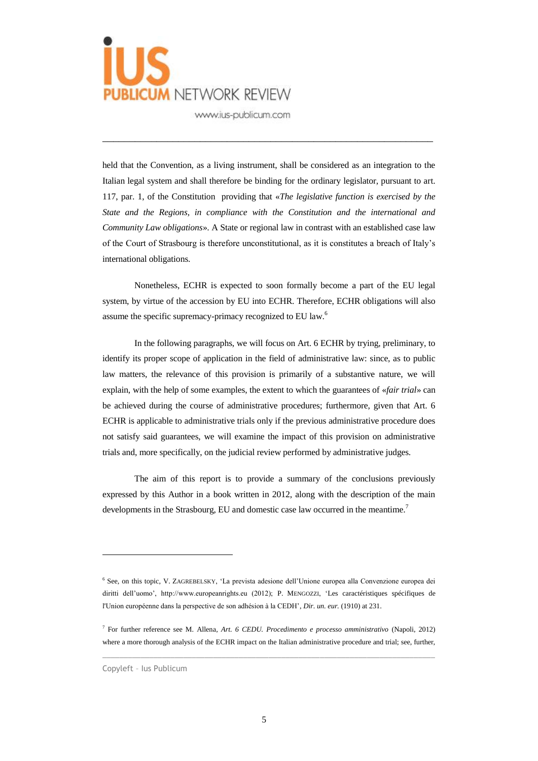

held that the Convention, as a living instrument, shall be considered as an integration to the Italian legal system and shall therefore be binding for the ordinary legislator, pursuant to art. 117, par. 1, of the Constitution providing that «*The legislative function is exercised by the State and the Regions, in compliance with the Constitution and the international and Community Law obligations*». A State or regional law in contrast with an established case law of the Court of Strasbourg is therefore unconstitutional, as it is constitutes a breach of Italy's international obligations.

\_\_\_\_\_\_\_\_\_\_\_\_\_\_\_\_\_\_\_\_\_\_\_\_\_\_\_\_\_\_\_\_\_\_\_\_\_\_\_\_\_\_\_\_\_\_\_\_\_\_\_\_\_\_\_\_\_\_\_\_\_

Nonetheless, ECHR is expected to soon formally become a part of the EU legal system, by virtue of the accession by EU into ECHR. Therefore, ECHR obligations will also assume the specific supremacy-primacy recognized to EU law.<sup>6</sup>

In the following paragraphs, we will focus on Art. 6 ECHR by trying, preliminary, to identify its proper scope of application in the field of administrative law: since, as to public law matters, the relevance of this provision is primarily of a substantive nature, we will explain, with the help of some examples, the extent to which the guarantees of «*fair trial*» can be achieved during the course of administrative procedures; furthermore, given that Art. 6 ECHR is applicable to administrative trials only if the previous administrative procedure does not satisfy said guarantees, we will examine the impact of this provision on administrative trials and, more specifically, on the judicial review performed by administrative judges.

The aim of this report is to provide a summary of the conclusions previously expressed by this Author in a book written in 2012, along with the description of the main developments in the Strasbourg, EU and domestic case law occurred in the meantime.<sup>7</sup>

 $\_$  ,  $\_$  ,  $\_$  ,  $\_$  ,  $\_$  ,  $\_$  ,  $\_$  ,  $\_$  ,  $\_$  ,  $\_$  ,  $\_$  ,  $\_$  ,  $\_$  ,  $\_$  ,  $\_$  ,  $\_$  ,  $\_$  ,  $\_$  ,  $\_$  ,  $\_$  ,  $\_$  ,  $\_$  ,  $\_$  ,  $\_$  ,  $\_$  ,  $\_$  ,  $\_$  ,  $\_$  ,  $\_$  ,  $\_$  ,  $\_$  ,  $\_$  ,  $\_$  ,  $\_$  ,  $\_$  ,  $\_$  ,  $\_$  ,

<sup>6</sup> See, on this topic, V. ZAGREBELSKY, 'La prevista adesione dell'Unione europea alla Convenzione europea dei diritti dell'uomo', http://www.europeanrights.eu (2012); P. MENGOZZI, 'Les caractéristiques spécifiques de l'Union européenne dans la perspective de son adhésion à la CEDH', *Dir. un. eur.* (1910) at 231.

<sup>7</sup> For further reference see M. Allena, *Art. 6 CEDU. Procedimento e processo amministrativo* (Napoli, 2012) where a more thorough analysis of the ECHR impact on the Italian administrative procedure and trial; see, further,

Copyleft – Ius Publicum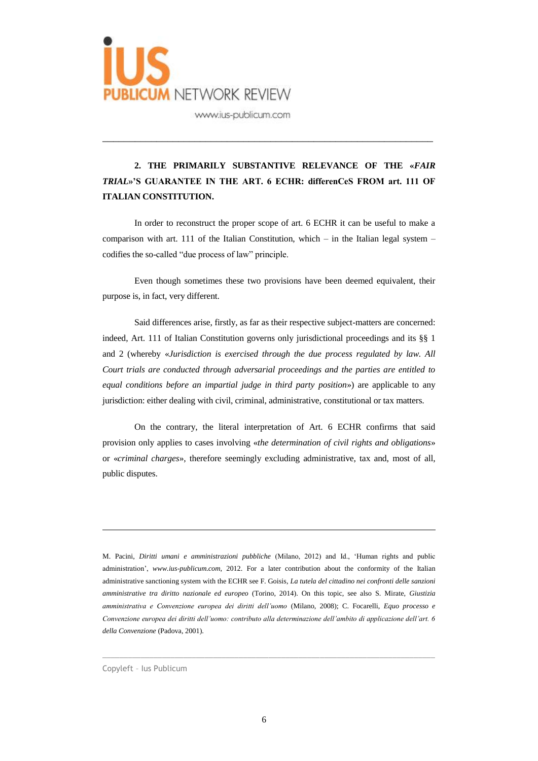

# **2. THE PRIMARILY SUBSTANTIVE RELEVANCE OF THE «***FAIR TRIAL***»'S GUARANTEE IN THE ART. 6 ECHR: differenCeS FROM art. 111 OF ITALIAN CONSTITUTION.**

\_\_\_\_\_\_\_\_\_\_\_\_\_\_\_\_\_\_\_\_\_\_\_\_\_\_\_\_\_\_\_\_\_\_\_\_\_\_\_\_\_\_\_\_\_\_\_\_\_\_\_\_\_\_\_\_\_\_\_\_\_

In order to reconstruct the proper scope of art. 6 ECHR it can be useful to make a comparison with art. 111 of the Italian Constitution, which – in the Italian legal system – codifies the so-called "due process of law" principle.

Even though sometimes these two provisions have been deemed equivalent, their purpose is, in fact, very different.

Said differences arise, firstly, as far as their respective subject-matters are concerned: indeed, Art. 111 of Italian Constitution governs only jurisdictional proceedings and its §§ 1 and 2 (whereby «*Jurisdiction is exercised through the due process regulated by law. All Court trials are conducted through adversarial proceedings and the parties are entitled to equal conditions before an impartial judge in third party position*») are applicable to any jurisdiction: either dealing with civil, criminal, administrative, constitutional or tax matters.

On the contrary, the literal interpretation of Art. 6 ECHR confirms that said provision only applies to cases involving «*the determination of civil rights and obligations*» or «*criminal charges*», therefore seemingly excluding administrative, tax and, most of all, public disputes.

M. Pacini, *Diritti umani e amministrazioni pubbliche* (Milano, 2012) and Id., 'Human rights and public administration', *www.ius-publicum.com*, 2012. For a later contribution about the conformity of the Italian administrative sanctioning system with the ECHR see F. Goisis, *La tutela del cittadino nei confronti delle sanzioni amministrative tra diritto nazionale ed europeo* (Torino, 2014). On this topic, see also S. Mirate, *Giustizia amministrativa e Convenzione europea dei diritti dell'uomo* (Milano, 2008); C. Focarelli, *Equo processo e Convenzione europea dei diritti dell'uomo: contributo alla determinazione dell'ambito di applicazione dell'art. 6 della Convenzione* (Padova, 2001).

 $\_$  ,  $\_$  ,  $\_$  ,  $\_$  ,  $\_$  ,  $\_$  ,  $\_$  ,  $\_$  ,  $\_$  ,  $\_$  ,  $\_$  ,  $\_$  ,  $\_$  ,  $\_$  ,  $\_$  ,  $\_$  ,  $\_$  ,  $\_$  ,  $\_$  ,  $\_$  ,  $\_$  ,  $\_$  ,  $\_$  ,  $\_$  ,  $\_$  ,  $\_$  ,  $\_$  ,  $\_$  ,  $\_$  ,  $\_$  ,  $\_$  ,  $\_$  ,  $\_$  ,  $\_$  ,  $\_$  ,  $\_$  ,  $\_$  ,

Copyleft – Ius Publicum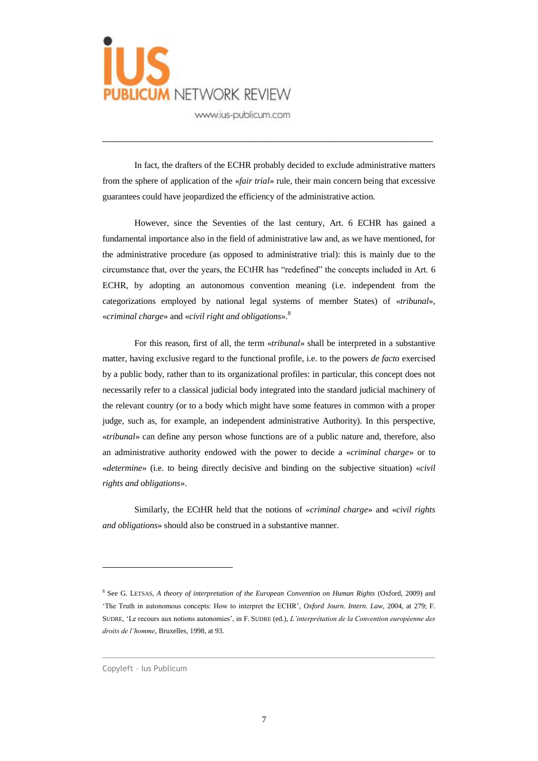

In fact, the drafters of the ECHR probably decided to exclude administrative matters from the sphere of application of the «*fair trial*» rule, their main concern being that excessive guarantees could have jeopardized the efficiency of the administrative action.

\_\_\_\_\_\_\_\_\_\_\_\_\_\_\_\_\_\_\_\_\_\_\_\_\_\_\_\_\_\_\_\_\_\_\_\_\_\_\_\_\_\_\_\_\_\_\_\_\_\_\_\_\_\_\_\_\_\_\_\_\_

However, since the Seventies of the last century, Art. 6 ECHR has gained a fundamental importance also in the field of administrative law and, as we have mentioned, for the administrative procedure (as opposed to administrative trial): this is mainly due to the circumstance that, over the years, the ECtHR has "redefined" the concepts included in Art. 6 ECHR, by adopting an autonomous convention meaning (i.e. independent from the categorizations employed by national legal systems of member States) of «*tribunal*», «*criminal charge*» and «*civil right and obligations*». 8

For this reason, first of all, the term «*tribunal*» shall be interpreted in a substantive matter, having exclusive regard to the functional profile, i.e. to the powers *de facto* exercised by a public body, rather than to its organizational profiles: in particular, this concept does not necessarily refer to a classical judicial body integrated into the standard judicial machinery of the relevant country (or to a body which might have some features in common with a proper judge, such as, for example, an independent administrative Authority). In this perspective, «*tribunal*» can define any person whose functions are of a public nature and, therefore, also an administrative authority endowed with the power to decide a «*criminal charge*» or to «*determine*» (i.e. to being directly decisive and binding on the subjective situation) «*civil rights and obligations*».

Similarly, the ECtHR held that the notions of «*criminal charge*» and «*civil rights and obligations*» should also be construed in a substantive manner.

 $\_$  ,  $\_$  ,  $\_$  ,  $\_$  ,  $\_$  ,  $\_$  ,  $\_$  ,  $\_$  ,  $\_$  ,  $\_$  ,  $\_$  ,  $\_$  ,  $\_$  ,  $\_$  ,  $\_$  ,  $\_$  ,  $\_$  ,  $\_$  ,  $\_$  ,  $\_$  ,  $\_$  ,  $\_$  ,  $\_$  ,  $\_$  ,  $\_$  ,  $\_$  ,  $\_$  ,  $\_$  ,  $\_$  ,  $\_$  ,  $\_$  ,  $\_$  ,  $\_$  ,  $\_$  ,  $\_$  ,  $\_$  ,  $\_$  ,

<sup>8</sup> See G. LETSAS, *A theory of interpretation of the European Convention on Human Rights* (Oxford, 2009) and 'The Truth in autonomous concepts: How to interpret the ECHR'*, Oxford Journ. Intern. Law,* 2004, at 279; F. SUDRE, 'Le recours aux notions autonomies', in F. SUDRE (ed.), *L'interprétation de la Convention européenne des droits de l'homme*, Bruxelles, 1998, at 93.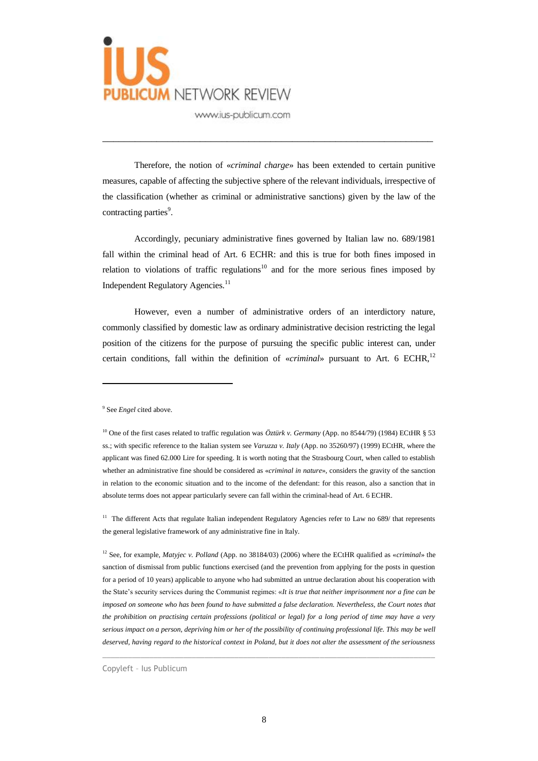

Therefore, the notion of «*criminal charge*» has been extended to certain punitive measures, capable of affecting the subjective sphere of the relevant individuals, irrespective of the classification (whether as criminal or administrative sanctions) given by the law of the contracting parties<sup>9</sup>.

\_\_\_\_\_\_\_\_\_\_\_\_\_\_\_\_\_\_\_\_\_\_\_\_\_\_\_\_\_\_\_\_\_\_\_\_\_\_\_\_\_\_\_\_\_\_\_\_\_\_\_\_\_\_\_\_\_\_\_\_\_

Accordingly, pecuniary administrative fines governed by Italian law no. 689/1981 fall within the criminal head of Art. 6 ECHR: and this is true for both fines imposed in relation to violations of traffic regulations<sup>10</sup> and for the more serious fines imposed by Independent Regulatory Agencies.<sup>11</sup>

However, even a number of administrative orders of an interdictory nature, commonly classified by domestic law as ordinary administrative decision restricting the legal position of the citizens for the purpose of pursuing the specific public interest can, under certain conditions, fall within the definition of «*criminal*» pursuant to Art. 6 ECHR,<sup>12</sup>

 $\overline{a}$ 

<sup>11</sup> The different Acts that regulate Italian independent Regulatory Agencies refer to Law no 689/ that represents the general legislative framework of any administrative fine in Italy.

<sup>12</sup> See, for example, *Matyjec v. Polland* (App. no 38184/03) (2006) where the ECtHR qualified as «*criminal*» the sanction of dismissal from public functions exercised (and the prevention from applying for the posts in question for a period of 10 years) applicable to anyone who had submitted an untrue declaration about his cooperation with the State's security services during the Communist regimes: «*It is true that neither imprisonment nor a fine can be imposed on someone who has been found to have submitted a false declaration. Nevertheless, the Court notes that the prohibition on practising certain professions (political or legal) for a long period of time may have a very serious impact on a person, depriving him or her of the possibility of continuing professional life. This may be well deserved, having regard to the historical context in Poland, but it does not alter the assessment of the seriousness* 

 $\_$  ,  $\_$  ,  $\_$  ,  $\_$  ,  $\_$  ,  $\_$  ,  $\_$  ,  $\_$  ,  $\_$  ,  $\_$  ,  $\_$  ,  $\_$  ,  $\_$  ,  $\_$  ,  $\_$  ,  $\_$  ,  $\_$  ,  $\_$  ,  $\_$  ,  $\_$  ,  $\_$  ,  $\_$  ,  $\_$  ,  $\_$  ,  $\_$  ,  $\_$  ,  $\_$  ,  $\_$  ,  $\_$  ,  $\_$  ,  $\_$  ,  $\_$  ,  $\_$  ,  $\_$  ,  $\_$  ,  $\_$  ,  $\_$  ,

Copyleft – Ius Publicum

<sup>9</sup> See *Engel* cited above.

<sup>&</sup>lt;sup>10</sup> One of the first cases related to traffic regulation was  $\ddot{O}ztiirk$  v. Germany (App. no 8544/79) (1984) ECtHR § 53 ss.; with specific reference to the Italian system see *Varuzza v. Italy* (App. no 35260/97) (1999) ECtHR, where the applicant was fined 62.000 Lire for speeding. It is worth noting that the Strasbourg Court, when called to establish whether an administrative fine should be considered as «*criminal in nature*», considers the gravity of the sanction in relation to the economic situation and to the income of the defendant: for this reason, also a sanction that in absolute terms does not appear particularly severe can fall within the criminal-head of Art. 6 ECHR.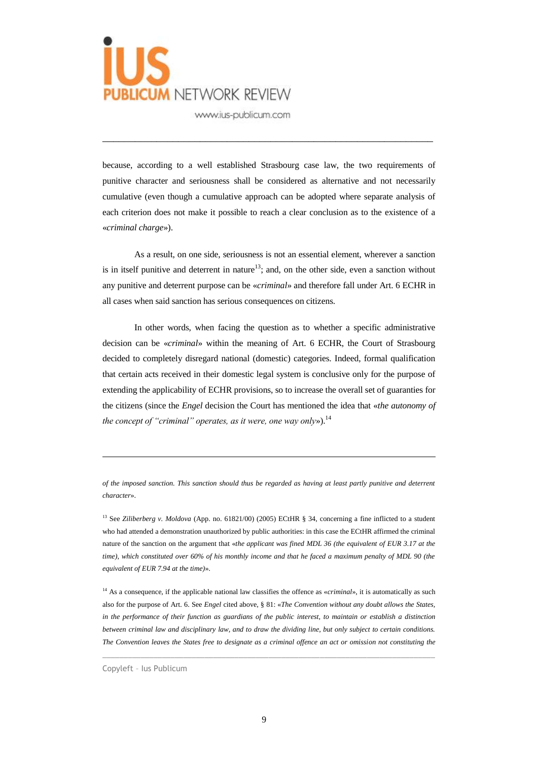

because, according to a well established Strasbourg case law, the two requirements of punitive character and seriousness shall be considered as alternative and not necessarily cumulative (even though a cumulative approach can be adopted where separate analysis of each criterion does not make it possible to reach a clear conclusion as to the existence of a «*criminal charge*»).

\_\_\_\_\_\_\_\_\_\_\_\_\_\_\_\_\_\_\_\_\_\_\_\_\_\_\_\_\_\_\_\_\_\_\_\_\_\_\_\_\_\_\_\_\_\_\_\_\_\_\_\_\_\_\_\_\_\_\_\_\_

As a result, on one side, seriousness is not an essential element, wherever a sanction is in itself punitive and deterrent in nature<sup>13</sup>; and, on the other side, even a sanction without any punitive and deterrent purpose can be «*criminal*» and therefore fall under Art. 6 ECHR in all cases when said sanction has serious consequences on citizens.

In other words, when facing the question as to whether a specific administrative decision can be «*criminal*» within the meaning of Art. 6 ECHR, the Court of Strasbourg decided to completely disregard national (domestic) categories. Indeed, formal qualification that certain acts received in their domestic legal system is conclusive only for the purpose of extending the applicability of ECHR provisions, so to increase the overall set of guaranties for the citizens (since the *Engel* decision the Court has mentioned the idea that «*the autonomy of the concept of "criminal" operates, as it were, one way only»*).<sup>14</sup>

*of the imposed sanction. This sanction should thus be regarded as having at least partly punitive and deterrent character*».

<sup>13</sup> See *Ziliberberg v. Moldova* (App. no. 61821/00) (2005) ECtHR § 34, concerning a fine inflicted to a student who had attended a demonstration unauthorized by public authorities: in this case the ECtHR affirmed the criminal nature of the sanction on the argument that «*the applicant was fined MDL 36 (the equivalent of EUR 3.17 at the time), which constituted over 60% of his monthly income and that he faced a maximum penalty of MDL 90 (the equivalent of EUR 7.94 at the time)*».

<sup>14</sup> As a consequence, if the applicable national law classifies the offence as *«criminal»*, it is automatically as such also for the purpose of Art. 6. See *Engel* cited above, § 81: «*The Convention without any doubt allows the States, in the performance of their function as guardians of the public interest, to maintain or establish a distinction between criminal law and disciplinary law, and to draw the dividing line, but only subject to certain conditions. The Convention leaves the States free to designate as a criminal offence an act or omission not constituting the* 

 $\_$  ,  $\_$  ,  $\_$  ,  $\_$  ,  $\_$  ,  $\_$  ,  $\_$  ,  $\_$  ,  $\_$  ,  $\_$  ,  $\_$  ,  $\_$  ,  $\_$  ,  $\_$  ,  $\_$  ,  $\_$  ,  $\_$  ,  $\_$  ,  $\_$  ,  $\_$  ,  $\_$  ,  $\_$  ,  $\_$  ,  $\_$  ,  $\_$  ,  $\_$  ,  $\_$  ,  $\_$  ,  $\_$  ,  $\_$  ,  $\_$  ,  $\_$  ,  $\_$  ,  $\_$  ,  $\_$  ,  $\_$  ,  $\_$  ,

Copyleft – Ius Publicum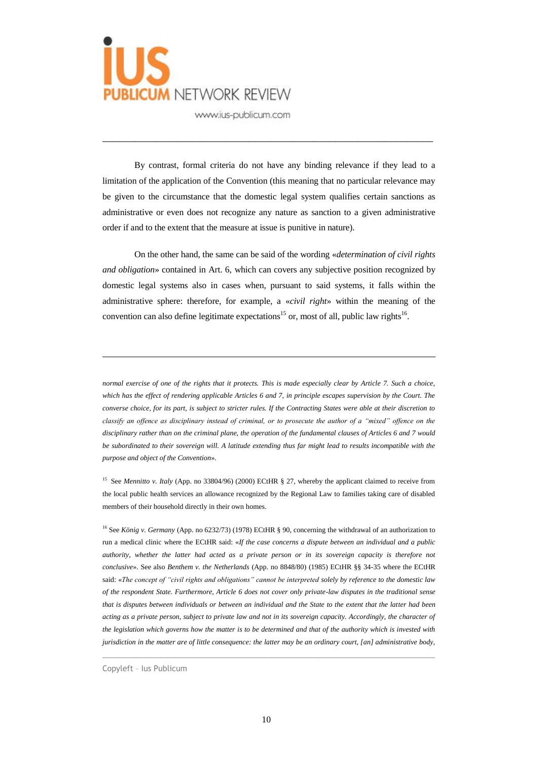

By contrast, formal criteria do not have any binding relevance if they lead to a limitation of the application of the Convention (this meaning that no particular relevance may be given to the circumstance that the domestic legal system qualifies certain sanctions as administrative or even does not recognize any nature as sanction to a given administrative order if and to the extent that the measure at issue is punitive in nature).

\_\_\_\_\_\_\_\_\_\_\_\_\_\_\_\_\_\_\_\_\_\_\_\_\_\_\_\_\_\_\_\_\_\_\_\_\_\_\_\_\_\_\_\_\_\_\_\_\_\_\_\_\_\_\_\_\_\_\_\_\_

On the other hand, the same can be said of the wording «*determination of civil rights and obligation*» contained in Art. 6, which can covers any subjective position recognized by domestic legal systems also in cases when, pursuant to said systems, it falls within the administrative sphere: therefore, for example, a «*civil right*» within the meaning of the convention can also define legitimate expectations<sup>15</sup> or, most of all, public law rights<sup>16</sup>.

*normal exercise of one of the rights that it protects. This is made especially clear by Article 7. Such a choice, which has the effect of rendering applicable Articles 6 and 7, in principle escapes supervision by the Court. The converse choice, for its part, is subject to stricter rules. If the Contracting States were able at their discretion to classify an offence as disciplinary instead of criminal, or to prosecute the author of a "mixed" offence on the disciplinary rather than on the criminal plane, the operation of the fundamental clauses of Articles 6 and 7 would be subordinated to their sovereign will. A latitude extending thus far might lead to results incompatible with the purpose and object of the Convention*».

<sup>15</sup> See *Mennitto v. Italy* (App. no 33804/96) (2000) ECtHR § 27, whereby the applicant claimed to receive from the local public health services an allowance recognized by the Regional Law to families taking care of disabled members of their household directly in their own homes.

<sup>16</sup> See *König v. Germany* (App. no 6232/73) (1978) ECtHR § 90, concerning the withdrawal of an authorization to run a medical clinic where the ECtHR said: «*If the case concerns a dispute between an individual and a public authority, whether the latter had acted as a private person or in its sovereign capacity is therefore not conclusive*». See also *Benthem v. the Netherlands* (App. no 8848/80) (1985) ECtHR §§ 34-35 where the ECtHR said: «*The concept of "civil rights and obligations" cannot be interpreted solely by reference to the domestic law of the respondent State. Furthermore, Article 6 does not cover only private-law disputes in the traditional sense that is disputes between individuals or between an individual and the State to the extent that the latter had been acting as a private person, subject to private law and not in its sovereign capacity. Accordingly, the character of the legislation which governs how the matter is to be determined and that of the authority which is invested with jurisdiction in the matter are of little consequence: the latter may be an ordinary court, [an] administrative body,* 

 $\_$  ,  $\_$  ,  $\_$  ,  $\_$  ,  $\_$  ,  $\_$  ,  $\_$  ,  $\_$  ,  $\_$  ,  $\_$  ,  $\_$  ,  $\_$  ,  $\_$  ,  $\_$  ,  $\_$  ,  $\_$  ,  $\_$  ,  $\_$  ,  $\_$  ,  $\_$  ,  $\_$  ,  $\_$  ,  $\_$  ,  $\_$  ,  $\_$  ,  $\_$  ,  $\_$  ,  $\_$  ,  $\_$  ,  $\_$  ,  $\_$  ,  $\_$  ,  $\_$  ,  $\_$  ,  $\_$  ,  $\_$  ,  $\_$  ,

Copyleft – Ius Publicum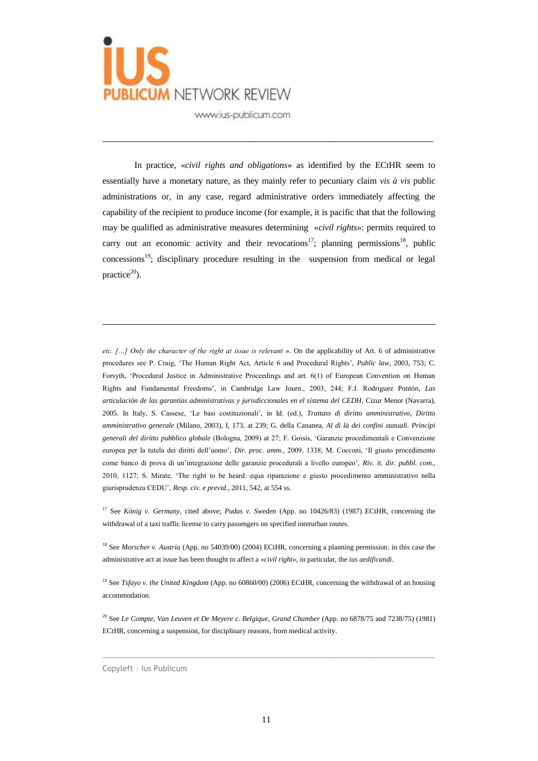

In practice, «*civil rights and obligations*» as identified by the ECtHR seem to essentially have a monetary nature, as they mainly refer to pecuniary claim *vis à vis* public administrations or, in any case, regard administrative orders immediately affecting the capability of the recipient to produce income (for example, it is pacific that that the following may be qualified as administrative measures determining «*civil rights*»: permits required to carry out an economic activity and their revocations<sup>17</sup>; planning permissions<sup>18</sup>, public  $\text{concessions}^{19}$ ; disciplinary procedure resulting in the suspension from medical or legal practice $20$ ).

\_\_\_\_\_\_\_\_\_\_\_\_\_\_\_\_\_\_\_\_\_\_\_\_\_\_\_\_\_\_\_\_\_\_\_\_\_\_\_\_\_\_\_\_\_\_\_\_\_\_\_\_\_\_\_\_\_\_\_\_\_

*etc. […] Only the character of the right at issue is relevant* ». On the applicability of Art. 6 of administrative procedures see P. Craig, 'The Human Right Act, Article 6 and Procedural Rights', *Public law*, 2003, 753; C. Forsyth, 'Procedural Justice in Administrative Proceedings and art. 6(1) of European Convention on Human Rights and Fundamental Freedoms', in Cambridge Law Journ., 2003, 244; F.J. Rodriguez Pontón, *Las articulación de las garantías administrativas y jurisdiccionales en el sistema del CEDH*, Cizur Menor (Navarra), 2005. In Italy, S. Cassese, 'Le basi costituzionali', in Id. (ed.), *Trattato di diritto amministrativo, Diritto amministrativo generale* (Milano, 2003), I, 173, at 239; G. della Cananea, *Al di là dei confini statuali. Principi generali del diritto pubblico globale* (Bologna, 2009) at 27; F. Goisis, 'Garanzie procedimentali e Convenzione europea per la tutela dei diritti dell'uomo', *Dir. proc. amm.*, 2009, 1338; M. Cocconi, 'Il giusto procedimento come banco di prova di un'integrazione delle garanzie procedurali a livello europeo', *Riv. it. dir. pubbl. com*., 2010, 1127; S. Mirate, 'The right to be heard: equa riparazione e giusto procedimento amministrativo nella giurisprudenza CEDU', *Resp. civ. e previd.*, 2011, 542, at 554 ss.

<sup>17</sup> See *König v. Germany*, cited above; *Pudas v. Sweden* (App. no 10426/83) (1987) ECtHR, concerning the withdrawal of a taxi traffic license to carry passengers on specified interurban routes.

<sup>18</sup> See *Morscher v. Austria* (App. no 54039/00) (2004) ECtHR, concerning a planning permission: in this case the administrative act at issue has been thought to affect a «*civil right*», in particular, the *ius aedificandi*.

<sup>19</sup> See *Tsfayo v. the United Kingdom* (App. no 60860/00) (2006) ECtHR, concerning the withdrawal of an housing accommodation.

<sup>20</sup> See *Le Compte, Van Leuven et De Meyere c. Belgique*, *Grand Chamber* (App. no 6878/75 and 7238/75) (1981) ECtHR, concerning a suspension, for disciplinary reasons, from medical activity.

 $\_$  ,  $\_$  ,  $\_$  ,  $\_$  ,  $\_$  ,  $\_$  ,  $\_$  ,  $\_$  ,  $\_$  ,  $\_$  ,  $\_$  ,  $\_$  ,  $\_$  ,  $\_$  ,  $\_$  ,  $\_$  ,  $\_$  ,  $\_$  ,  $\_$  ,  $\_$  ,  $\_$  ,  $\_$  ,  $\_$  ,  $\_$  ,  $\_$  ,  $\_$  ,  $\_$  ,  $\_$  ,  $\_$  ,  $\_$  ,  $\_$  ,  $\_$  ,  $\_$  ,  $\_$  ,  $\_$  ,  $\_$  ,  $\_$  ,

Copyleft – Ius Publicum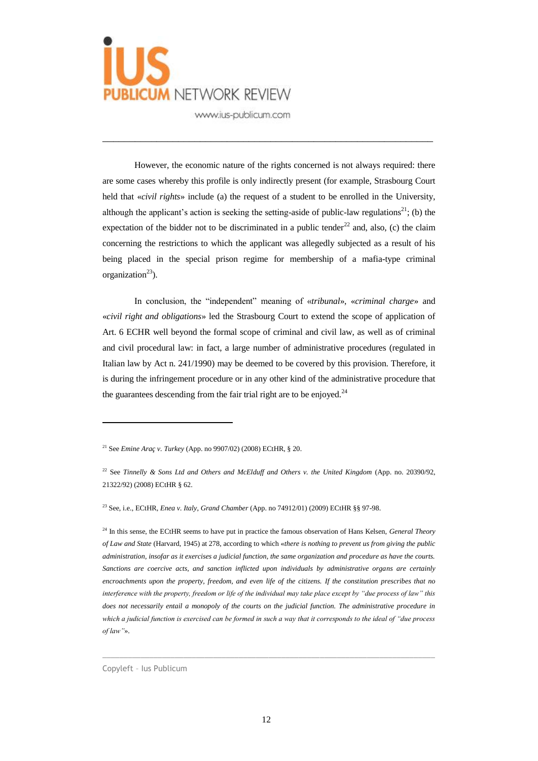

However, the economic nature of the rights concerned is not always required: there are some cases whereby this profile is only indirectly present (for example, Strasbourg Court held that «*civil rights*» include (a) the request of a student to be enrolled in the University, although the applicant's action is seeking the setting-aside of public-law regulations<sup>21</sup>; (b) the expectation of the bidder not to be discriminated in a public tender<sup>22</sup> and, also, (c) the claim concerning the restrictions to which the applicant was allegedly subjected as a result of his being placed in the special prison regime for membership of a mafia-type criminal organization $^{23}$ ).

\_\_\_\_\_\_\_\_\_\_\_\_\_\_\_\_\_\_\_\_\_\_\_\_\_\_\_\_\_\_\_\_\_\_\_\_\_\_\_\_\_\_\_\_\_\_\_\_\_\_\_\_\_\_\_\_\_\_\_\_\_

In conclusion, the "independent" meaning of «*tribunal*», «*criminal charge*» and «*civil right and obligations*» led the Strasbourg Court to extend the scope of application of Art. 6 ECHR well beyond the formal scope of criminal and civil law, as well as of criminal and civil procedural law: in fact, a large number of administrative procedures (regulated in Italian law by Act n. 241/1990) may be deemed to be covered by this provision. Therefore, it is during the infringement procedure or in any other kind of the administrative procedure that the guarantees descending from the fair trial right are to be enjoyed.<sup>24</sup>

<sup>23</sup> See, i.e., ECtHR, *Enea v. Italy*, *Grand Chamber* (App. no 74912/01) (2009) ECtHR §§ 97-98.

<sup>24</sup> In this sense, the ECtHR seems to have put in practice the famous observation of Hans Kelsen, *General Theory of Law and State* (Harvard, 1945) at 278, according to which «*there is nothing to prevent us from giving the public administration, insofar as it exercises a judicial function, the same organization and procedure as have the courts. Sanctions are coercive acts, and sanction inflicted upon individuals by administrative organs are certainly encroachments upon the property, freedom, and even life of the citizens. If the constitution prescribes that no interference with the property, freedom or life of the individual may take place except by "due process of law" this*  does not necessarily entail a monopoly of the courts on the judicial function. The administrative procedure in *which a judicial function is exercised can be formed in such a way that it corresponds to the ideal of "due process of law"*».

 $\_$  ,  $\_$  ,  $\_$  ,  $\_$  ,  $\_$  ,  $\_$  ,  $\_$  ,  $\_$  ,  $\_$  ,  $\_$  ,  $\_$  ,  $\_$  ,  $\_$  ,  $\_$  ,  $\_$  ,  $\_$  ,  $\_$  ,  $\_$  ,  $\_$  ,  $\_$  ,  $\_$  ,  $\_$  ,  $\_$  ,  $\_$  ,  $\_$  ,  $\_$  ,  $\_$  ,  $\_$  ,  $\_$  ,  $\_$  ,  $\_$  ,  $\_$  ,  $\_$  ,  $\_$  ,  $\_$  ,  $\_$  ,  $\_$  ,

Copyleft – Ius Publicum

<sup>21</sup> See *Emine Araç v. Turkey* (App. no 9907/02) (2008) ECtHR, § 20.

<sup>22</sup> See *Tinnelly & Sons Ltd and Others and McElduff and Others v. the United Kingdom* (App. no. 20390/92, 21322/92) (2008) ECtHR § 62.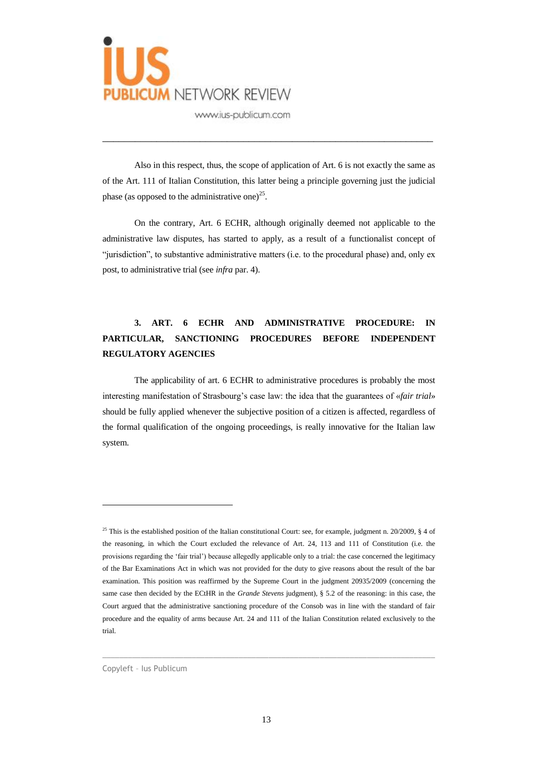

Also in this respect, thus, the scope of application of Art. 6 is not exactly the same as of the Art. 111 of Italian Constitution, this latter being a principle governing just the judicial phase (as opposed to the administrative one) $^{25}$ .

\_\_\_\_\_\_\_\_\_\_\_\_\_\_\_\_\_\_\_\_\_\_\_\_\_\_\_\_\_\_\_\_\_\_\_\_\_\_\_\_\_\_\_\_\_\_\_\_\_\_\_\_\_\_\_\_\_\_\_\_\_

On the contrary, Art. 6 ECHR, although originally deemed not applicable to the administrative law disputes, has started to apply, as a result of a functionalist concept of "jurisdiction", to substantive administrative matters (i.e. to the procedural phase) and, only ex post, to administrative trial (see *infra* par. 4).

## **3. ART. 6 ECHR AND ADMINISTRATIVE PROCEDURE: IN PARTICULAR, SANCTIONING PROCEDURES BEFORE INDEPENDENT REGULATORY AGENCIES**

The applicability of art. 6 ECHR to administrative procedures is probably the most interesting manifestation of Strasbourg's case law: the idea that the guarantees of «*fair trial*» should be fully applied whenever the subjective position of a citizen is affected, regardless of the formal qualification of the ongoing proceedings, is really innovative for the Italian law system.

 $\_$  ,  $\_$  ,  $\_$  ,  $\_$  ,  $\_$  ,  $\_$  ,  $\_$  ,  $\_$  ,  $\_$  ,  $\_$  ,  $\_$  ,  $\_$  ,  $\_$  ,  $\_$  ,  $\_$  ,  $\_$  ,  $\_$  ,  $\_$  ,  $\_$  ,  $\_$  ,  $\_$  ,  $\_$  ,  $\_$  ,  $\_$  ,  $\_$  ,  $\_$  ,  $\_$  ,  $\_$  ,  $\_$  ,  $\_$  ,  $\_$  ,  $\_$  ,  $\_$  ,  $\_$  ,  $\_$  ,  $\_$  ,  $\_$  ,

Copyleft – Ius Publicum

<sup>&</sup>lt;sup>25</sup> This is the established position of the Italian constitutional Court: see, for example, judgment n. 20/2009,  $\S$  4 of the reasoning, in which the Court excluded the relevance of Art. 24, 113 and 111 of Constitution (i.e. the provisions regarding the 'fair trial') because allegedly applicable only to a trial: the case concerned the legitimacy of the Bar Examinations Act in which was not provided for the duty to give reasons about the result of the bar examination. This position was reaffirmed by the Supreme Court in the judgment 20935/2009 (concerning the same case then decided by the ECtHR in the *Grande Stevens* judgment), § 5.2 of the reasoning: in this case, the Court argued that the administrative sanctioning procedure of the Consob was in line with the standard of fair procedure and the equality of arms because Art. 24 and 111 of the Italian Constitution related exclusively to the trial.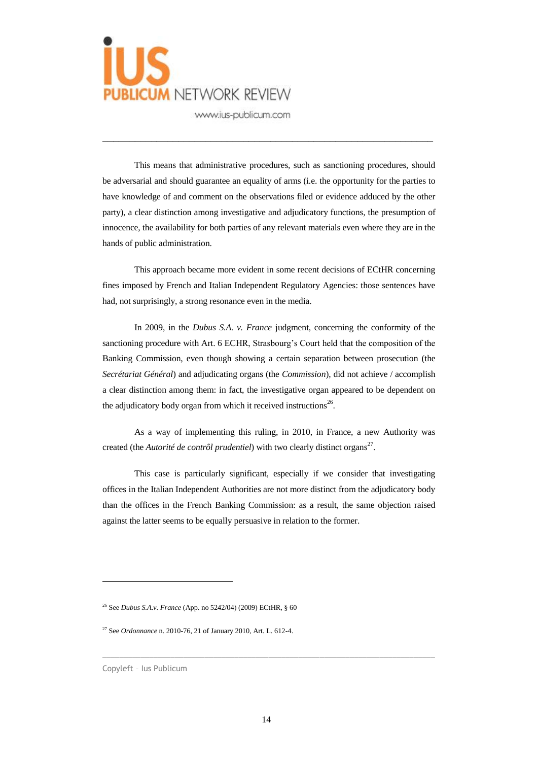

This means that administrative procedures, such as sanctioning procedures, should be adversarial and should guarantee an equality of arms (i.e. the opportunity for the parties to have knowledge of and comment on the observations filed or evidence adduced by the other party), a clear distinction among investigative and adjudicatory functions, the presumption of innocence, the availability for both parties of any relevant materials even where they are in the hands of public administration.

\_\_\_\_\_\_\_\_\_\_\_\_\_\_\_\_\_\_\_\_\_\_\_\_\_\_\_\_\_\_\_\_\_\_\_\_\_\_\_\_\_\_\_\_\_\_\_\_\_\_\_\_\_\_\_\_\_\_\_\_\_

This approach became more evident in some recent decisions of ECtHR concerning fines imposed by French and Italian Independent Regulatory Agencies: those sentences have had, not surprisingly, a strong resonance even in the media.

In 2009, in the *Dubus S.A. v. France* judgment, concerning the conformity of the sanctioning procedure with Art. 6 ECHR, Strasbourg's Court held that the composition of the Banking Commission, even though showing a certain separation between prosecution (the *Secrétariat Général*) and adjudicating organs (the *Commission*), did not achieve / accomplish a clear distinction among them: in fact, the investigative organ appeared to be dependent on the adjudicatory body organ from which it received instructions<sup>26</sup>.

As a way of implementing this ruling, in 2010, in France, a new Authority was created (the *Autorité de contrôl prudentiel*) with two clearly distinct organs<sup>27</sup>.

This case is particularly significant, especially if we consider that investigating offices in the Italian Independent Authorities are not more distinct from the adjudicatory body than the offices in the French Banking Commission: as a result, the same objection raised against the latter seems to be equally persuasive in relation to the former.

 $\overline{a}$ 

 $\_$  ,  $\_$  ,  $\_$  ,  $\_$  ,  $\_$  ,  $\_$  ,  $\_$  ,  $\_$  ,  $\_$  ,  $\_$  ,  $\_$  ,  $\_$  ,  $\_$  ,  $\_$  ,  $\_$  ,  $\_$  ,  $\_$  ,  $\_$  ,  $\_$  ,  $\_$  ,  $\_$  ,  $\_$  ,  $\_$  ,  $\_$  ,  $\_$  ,  $\_$  ,  $\_$  ,  $\_$  ,  $\_$  ,  $\_$  ,  $\_$  ,  $\_$  ,  $\_$  ,  $\_$  ,  $\_$  ,  $\_$  ,  $\_$  ,

<sup>26</sup> See *Dubus S.A.v. France* (App. no 5242/04) (2009) ECtHR, § 60

<sup>27</sup> See *Ordonnance* n. 2010-76, 21 of January 2010, Art. L. 612-4.

Copyleft – Ius Publicum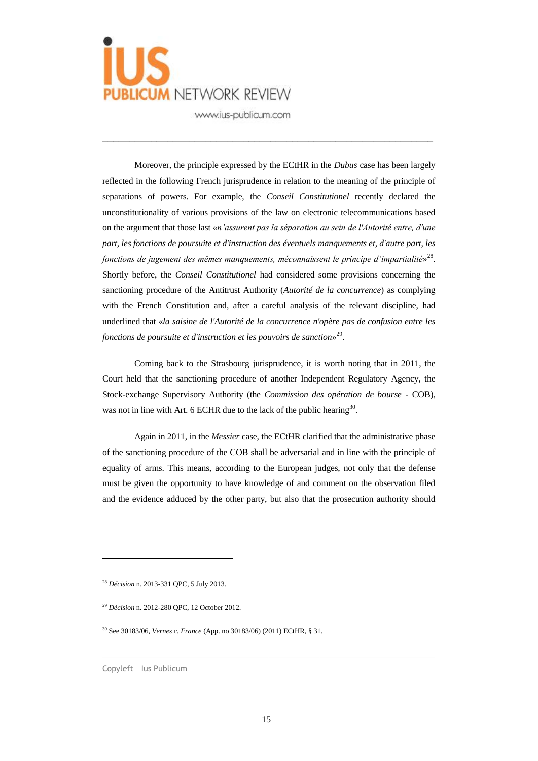

Moreover, the principle expressed by the ECtHR in the *Dubus* case has been largely reflected in the following French jurisprudence in relation to the meaning of the principle of separations of powers. For example, the *Conseil Constitutionel* recently declared the unconstitutionality of various provisions of the law on electronic telecommunications based on the argument that those last «*n'assurent pas la séparation au sein de l'Autorité entre, d'une part, les fonctions de poursuite et d'instruction des éventuels manquements et, d'autre part, les*  fonctions de jugement des mêmes manquements, méconnaissent le principe d'impartialité»<sup>28</sup>. Shortly before, the *Conseil Constitutionel* had considered some provisions concerning the sanctioning procedure of the Antitrust Authority (*Autorité de la concurrence*) as complying with the French Constitution and, after a careful analysis of the relevant discipline, had underlined that «*la saisine de l'Autorité de la concurrence n'opère pas de confusion entre les fonctions de poursuite et d'instruction et les pouvoirs de sanction*» 29 .

\_\_\_\_\_\_\_\_\_\_\_\_\_\_\_\_\_\_\_\_\_\_\_\_\_\_\_\_\_\_\_\_\_\_\_\_\_\_\_\_\_\_\_\_\_\_\_\_\_\_\_\_\_\_\_\_\_\_\_\_\_

Coming back to the Strasbourg jurisprudence, it is worth noting that in 2011, the Court held that the sanctioning procedure of another Independent Regulatory Agency, the Stock-exchange Supervisory Authority (the *Commission des opération de bourse* - COB), was not in line with Art. 6 ECHR due to the lack of the public hearing  $30$ .

Again in 2011, in the *Messier* case, the ECtHR clarified that the administrative phase of the sanctioning procedure of the COB shall be adversarial and in line with the principle of equality of arms. This means, according to the European judges, not only that the defense must be given the opportunity to have knowledge of and comment on the observation filed and the evidence adduced by the other party, but also that the prosecution authority should

 $\overline{a}$ 

 $\_$  , and the set of the set of the set of the set of the set of the set of the set of the set of the set of the set of the set of the set of the set of the set of the set of the set of the set of the set of the set of th

<sup>28</sup> *Décision* n. 2013-331 QPC, 5 July 2013.

<sup>29</sup> *Décision* n. 2012-280 QPC, 12 October 2012.

<sup>30</sup> See 30183/06, *Vernes c. France* (App. no 30183/06) (2011) ECtHR, § 31.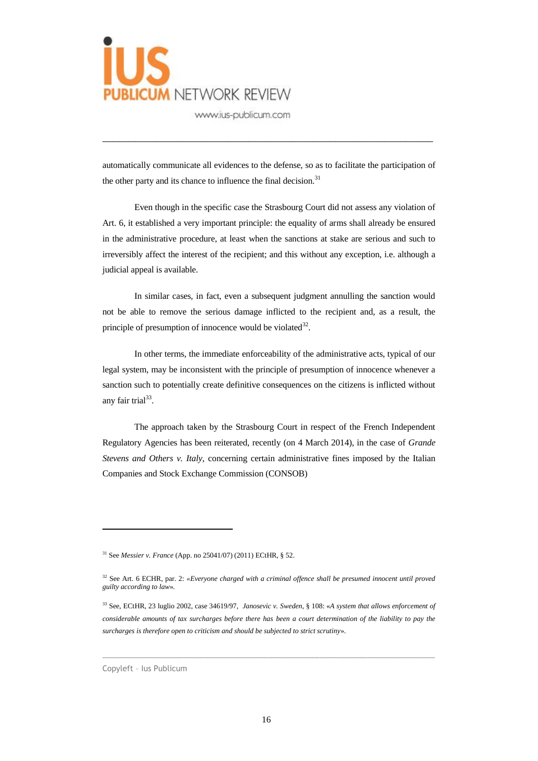

automatically communicate all evidences to the defense, so as to facilitate the participation of the other party and its chance to influence the final decision.<sup>31</sup>

\_\_\_\_\_\_\_\_\_\_\_\_\_\_\_\_\_\_\_\_\_\_\_\_\_\_\_\_\_\_\_\_\_\_\_\_\_\_\_\_\_\_\_\_\_\_\_\_\_\_\_\_\_\_\_\_\_\_\_\_\_

Even though in the specific case the Strasbourg Court did not assess any violation of Art. 6, it established a very important principle: the equality of arms shall already be ensured in the administrative procedure, at least when the sanctions at stake are serious and such to irreversibly affect the interest of the recipient; and this without any exception, i.e. although a judicial appeal is available.

In similar cases, in fact, even a subsequent judgment annulling the sanction would not be able to remove the serious damage inflicted to the recipient and, as a result, the principle of presumption of innocence would be violated $^{32}$ .

In other terms, the immediate enforceability of the administrative acts, typical of our legal system, may be inconsistent with the principle of presumption of innocence whenever a sanction such to potentially create definitive consequences on the citizens is inflicted without any fair trial<sup>33</sup>.

The approach taken by the Strasbourg Court in respect of the French Independent Regulatory Agencies has been reiterated, recently (on 4 March 2014), in the case of *Grande Stevens and Others v. Italy*, concerning certain administrative fines imposed by the Italian Companies and Stock Exchange Commission (CONSOB)

 $\_$  , and the set of the set of the set of the set of the set of the set of the set of the set of the set of the set of the set of the set of the set of the set of the set of the set of the set of the set of the set of th

<sup>31</sup> See *Messier v. France* (App. no 25041/07) (2011) ECtHR, § 52.

<sup>32</sup> See Art. 6 ECHR, par. 2: *«Everyone charged with a criminal offence shall be presumed innocent until proved guilty according to law*»*.*

<sup>33</sup> See, ECtHR, 23 luglio 2002, case 34619/97, *Janosevic v. Sweden*, § 108: «*A system that allows enforcement of considerable amounts of tax surcharges before there has been a court determination of the liability to pay the surcharges is therefore open to criticism and should be subjected to strict scrutiny*».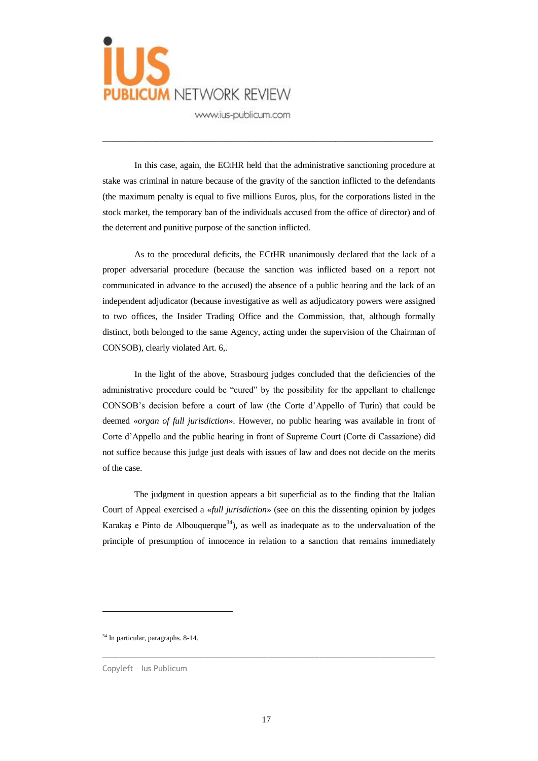

In this case, again, the ECtHR held that the administrative sanctioning procedure at stake was criminal in nature because of the gravity of the sanction inflicted to the defendants (the maximum penalty is equal to five millions Euros, plus, for the corporations listed in the stock market, the temporary ban of the individuals accused from the office of director) and of the deterrent and punitive purpose of the sanction inflicted.

\_\_\_\_\_\_\_\_\_\_\_\_\_\_\_\_\_\_\_\_\_\_\_\_\_\_\_\_\_\_\_\_\_\_\_\_\_\_\_\_\_\_\_\_\_\_\_\_\_\_\_\_\_\_\_\_\_\_\_\_\_

As to the procedural deficits, the ECtHR unanimously declared that the lack of a proper adversarial procedure (because the sanction was inflicted based on a report not communicated in advance to the accused) the absence of a public hearing and the lack of an independent adjudicator (because investigative as well as adjudicatory powers were assigned to two offices, the Insider Trading Office and the Commission, that, although formally distinct, both belonged to the same Agency, acting under the supervision of the Chairman of CONSOB), clearly violated Art. 6,.

In the light of the above, Strasbourg judges concluded that the deficiencies of the administrative procedure could be "cured" by the possibility for the appellant to challenge CONSOB's decision before a court of law (the Corte d'Appello of Turin) that could be deemed «*organ of full jurisdiction*». However, no public hearing was available in front of Corte d'Appello and the public hearing in front of Supreme Court (Corte di Cassazione) did not suffice because this judge just deals with issues of law and does not decide on the merits of the case.

The judgment in question appears a bit superficial as to the finding that the Italian Court of Appeal exercised a «*full jurisdiction*» (see on this the dissenting opinion by judges Karakaş e Pinto de Albouquerque<sup>34</sup>), as well as inadequate as to the undervaluation of the principle of presumption of innocence in relation to a sanction that remains immediately

 $\overline{a}$ 

 $\_$  , and the set of the set of the set of the set of the set of the set of the set of the set of the set of the set of the set of the set of the set of the set of the set of the set of the set of the set of the set of th

<sup>&</sup>lt;sup>34</sup> In particular, paragraphs. 8-14.

Copyleft – Ius Publicum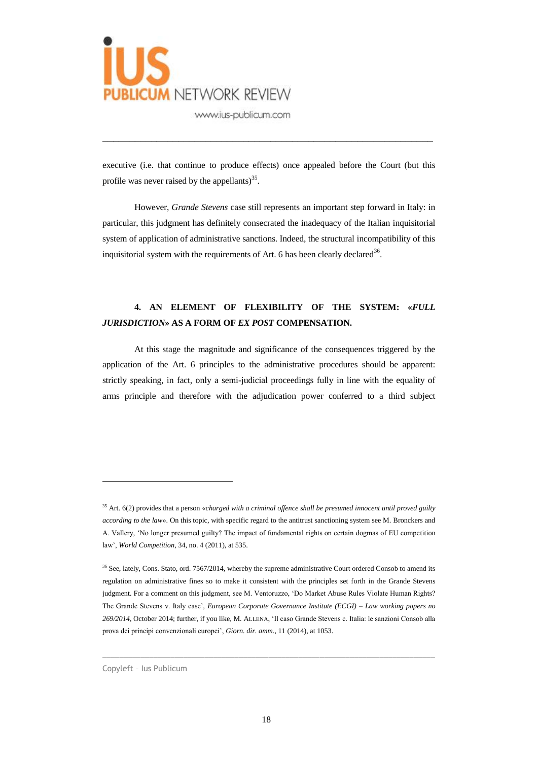

executive (i.e. that continue to produce effects) once appealed before the Court (but this profile was never raised by the appellants) $35$ .

\_\_\_\_\_\_\_\_\_\_\_\_\_\_\_\_\_\_\_\_\_\_\_\_\_\_\_\_\_\_\_\_\_\_\_\_\_\_\_\_\_\_\_\_\_\_\_\_\_\_\_\_\_\_\_\_\_\_\_\_\_

However, *Grande Stevens* case still represents an important step forward in Italy: in particular, this judgment has definitely consecrated the inadequacy of the Italian inquisitorial system of application of administrative sanctions. Indeed, the structural incompatibility of this inquisitorial system with the requirements of Art. 6 has been clearly declared<sup>36</sup>.

#### **4. AN ELEMENT OF FLEXIBILITY OF THE SYSTEM: «***FULL JURISDICTION***» AS A FORM OF** *EX POST* **COMPENSATION.**

At this stage the magnitude and significance of the consequences triggered by the application of the Art. 6 principles to the administrative procedures should be apparent: strictly speaking, in fact, only a semi-judicial proceedings fully in line with the equality of arms principle and therefore with the adjudication power conferred to a third subject

 $\_$  , and the set of the set of the set of the set of the set of the set of the set of the set of the set of the set of the set of the set of the set of the set of the set of the set of the set of the set of the set of th

Copyleft – Ius Publicum

<sup>35</sup> Art. 6(2) provides that a person «*charged with a criminal offence shall be presumed innocent until proved guilty according to the law*». On this topic, with specific regard to the antitrust sanctioning system see M. Bronckers and A. Vallery, 'No longer presumed guilty? The impact of fundamental rights on certain dogmas of EU competition law', *World Competition*, 34, no. 4 (2011), at 535.

<sup>&</sup>lt;sup>36</sup> See, lately, Cons. Stato, ord. 7567/2014, whereby the supreme administrative Court ordered Consob to amend its regulation on administrative fines so to make it consistent with the principles set forth in the Grande Stevens judgment. For a comment on this judgment, see M. Ventoruzzo, 'Do Market Abuse Rules Violate Human Rights? The Grande Stevens v. Italy case', *European Corporate Governance Institute (ECGI) – Law working papers no 269/2014*, October 2014; further, if you like, M. ALLENA, 'Il caso Grande Stevens c. Italia: le sanzioni Consob alla prova dei principi convenzionali europei', *Giorn. dir. amm.*, 11 (2014), at 1053.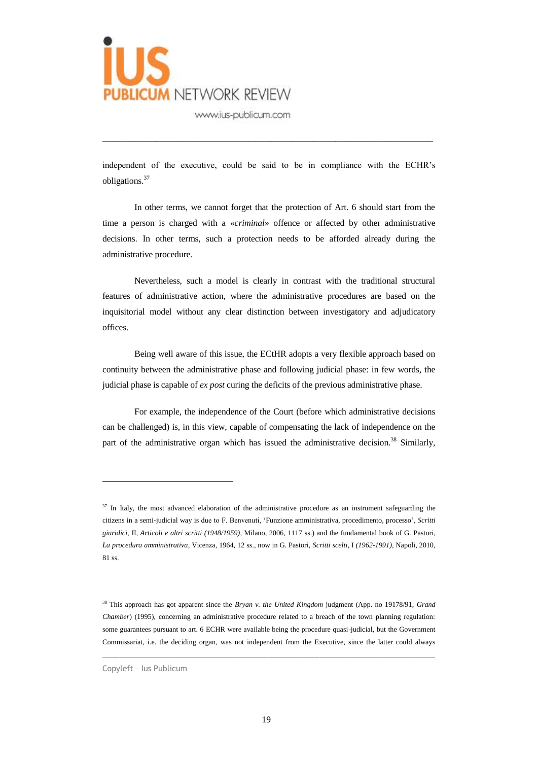

independent of the executive, could be said to be in compliance with the ECHR's obligations.<sup>37</sup>

\_\_\_\_\_\_\_\_\_\_\_\_\_\_\_\_\_\_\_\_\_\_\_\_\_\_\_\_\_\_\_\_\_\_\_\_\_\_\_\_\_\_\_\_\_\_\_\_\_\_\_\_\_\_\_\_\_\_\_\_\_

In other terms, we cannot forget that the protection of Art. 6 should start from the time a person is charged with a «*criminal*» offence or affected by other administrative decisions. In other terms, such a protection needs to be afforded already during the administrative procedure.

Nevertheless, such a model is clearly in contrast with the traditional structural features of administrative action, where the administrative procedures are based on the inquisitorial model without any clear distinction between investigatory and adjudicatory offices.

Being well aware of this issue, the ECtHR adopts a very flexible approach based on continuity between the administrative phase and following judicial phase: in few words, the judicial phase is capable of *ex post* curing the deficits of the previous administrative phase.

For example, the independence of the Court (before which administrative decisions can be challenged) is, in this view, capable of compensating the lack of independence on the part of the administrative organ which has issued the administrative decision.<sup>38</sup> Similarly,

 $\_$  , and the set of the set of the set of the set of the set of the set of the set of the set of the set of the set of the set of the set of the set of the set of the set of the set of the set of the set of the set of th

Copyleft – Ius Publicum

<sup>&</sup>lt;sup>37</sup> In Italy, the most advanced elaboration of the administrative procedure as an instrument safeguarding the citizens in a semi-judicial way is due to F. Benvenuti, 'Funzione amministrativa, procedimento, processo', *Scritti giuridici*, II, *Articoli e altri scritti (1948/1959)*, Milano, 2006, 1117 ss.) and the fundamental book of G. Pastori, *La procedura amministrativa*, Vicenza, 1964, 12 ss., now in G. Pastori, *Scritti scelti*, I *(1962-1991)*, Napoli, 2010, 81 ss.

<sup>38</sup> This approach has got apparent since the *Bryan v. the United Kingdom* judgment (App. no 19178/91, *Grand Chamber*) (1995), concerning an administrative procedure related to a breach of the town planning regulation: some guarantees pursuant to art. 6 ECHR were available being the procedure quasi-judicial, but the Government Commissariat, i.e. the deciding organ, was not independent from the Executive, since the latter could always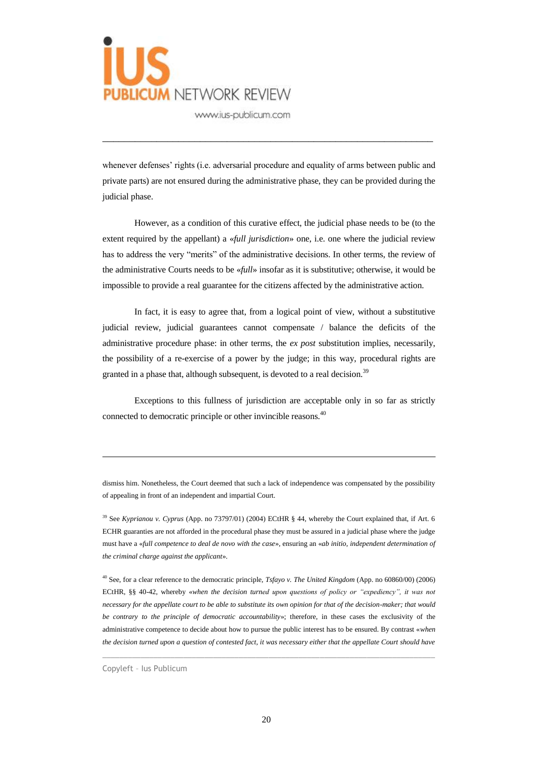

whenever defenses' rights (i.e. adversarial procedure and equality of arms between public and private parts) are not ensured during the administrative phase, they can be provided during the judicial phase.

\_\_\_\_\_\_\_\_\_\_\_\_\_\_\_\_\_\_\_\_\_\_\_\_\_\_\_\_\_\_\_\_\_\_\_\_\_\_\_\_\_\_\_\_\_\_\_\_\_\_\_\_\_\_\_\_\_\_\_\_\_

However, as a condition of this curative effect, the judicial phase needs to be (to the extent required by the appellant) a «*full jurisdiction*» one, i.e. one where the judicial review has to address the very "merits" of the administrative decisions. In other terms, the review of the administrative Courts needs to be «*full*» insofar as it is substitutive; otherwise, it would be impossible to provide a real guarantee for the citizens affected by the administrative action.

In fact, it is easy to agree that, from a logical point of view, without a substitutive judicial review, judicial guarantees cannot compensate / balance the deficits of the administrative procedure phase: in other terms, the *ex post* substitution implies, necessarily, the possibility of a re-exercise of a power by the judge; in this way, procedural rights are granted in a phase that, although subsequent, is devoted to a real decision.<sup>39</sup>

Exceptions to this fullness of jurisdiction are acceptable only in so far as strictly connected to democratic principle or other invincible reasons.<sup>40</sup>

dismiss him. Nonetheless, the Court deemed that such a lack of independence was compensated by the possibility of appealing in front of an independent and impartial Court.

<sup>39</sup> See *Kyprianou v. Cyprus* (App. no 73797/01) (2004) ECtHR § 44, whereby the Court explained that, if Art. 6 ECHR guaranties are not afforded in the procedural phase they must be assured in a judicial phase where the judge must have a «*full competence to deal de novo with the case*», ensuring an «*ab initio, independent determination of the criminal charge against the applicant*».

<sup>40</sup> See, for a clear reference to the democratic principle, *Tsfayo v. The United Kingdom* (App. no 60860/00) (2006) ECtHR, §§ 40-42, whereby «*when the decision turned upon questions of policy or "expediency", it was not necessary for the appellate court to be able to substitute its own opinion for that of the decision-maker; that would be contrary to the principle of democratic accountability*»; therefore, in these cases the exclusivity of the administrative competence to decide about how to pursue the public interest has to be ensured. By contrast «*when the decision turned upon a question of contested fact, it was necessary either that the appellate Court should have* 

 $\_$  , and the set of the set of the set of the set of the set of the set of the set of the set of the set of the set of the set of the set of the set of the set of the set of the set of the set of the set of the set of th

Copyleft – Ius Publicum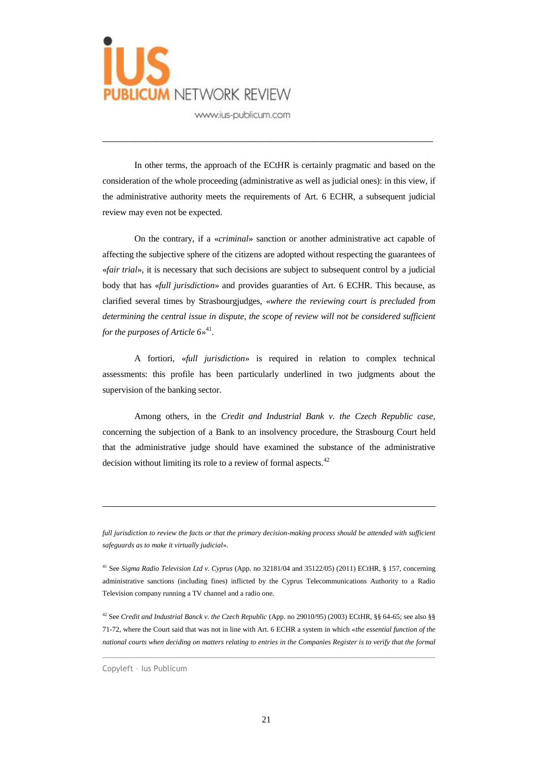

In other terms, the approach of the ECtHR is certainly pragmatic and based on the consideration of the whole proceeding (administrative as well as judicial ones): in this view, if the administrative authority meets the requirements of Art. 6 ECHR, a subsequent judicial review may even not be expected.

\_\_\_\_\_\_\_\_\_\_\_\_\_\_\_\_\_\_\_\_\_\_\_\_\_\_\_\_\_\_\_\_\_\_\_\_\_\_\_\_\_\_\_\_\_\_\_\_\_\_\_\_\_\_\_\_\_\_\_\_\_

On the contrary, if a «*criminal*» sanction or another administrative act capable of affecting the subjective sphere of the citizens are adopted without respecting the guarantees of «*fair trial*», it is necessary that such decisions are subject to subsequent control by a judicial body that has «*full jurisdiction*» and provides guaranties of Art. 6 ECHR. This because, as clarified several times by Strasbourgjudges, «*where the reviewing court is precluded from determining the central issue in dispute, the scope of review will not be considered sufficient for the purposes of Article 6*» 41 .

A fortiori, «*full jurisdiction*» is required in relation to complex technical assessments: this profile has been particularly underlined in two judgments about the supervision of the banking sector.

Among others, in the *Credit and Industrial Bank v. the Czech Republic case*, concerning the subjection of a Bank to an insolvency procedure, the Strasbourg Court held that the administrative judge should have examined the substance of the administrative decision without limiting its role to a review of formal aspects.<sup>42</sup>

*full jurisdiction to review the facts or that the primary decision-making process should be attended with sufficient safeguards as to make it virtually judicial*».

<sup>41</sup> See *Sigma Radio Television Ltd v. Cyprus* (App. no 32181/04 and 35122/05) (2011) ECtHR, § 157, concerning administrative sanctions (including fines) inflicted by the Cyprus Telecommunications Authority to a Radio Television company running a TV channel and a radio one.

<sup>42</sup> See *Credit and Industrial Banck v. the Czech Republic* (App. no 29010/95) (2003) ECtHR, §§ 64-65; see also §§ 71-72, where the Court said that was not in line with Art. 6 ECHR a system in which «*the essential function of the national courts when deciding on matters relating to entries in the Companies Register is to verify that the formal* 

 $\_$  , and the set of the set of the set of the set of the set of the set of the set of the set of the set of the set of the set of the set of the set of the set of the set of the set of the set of the set of the set of th

Copyleft – Ius Publicum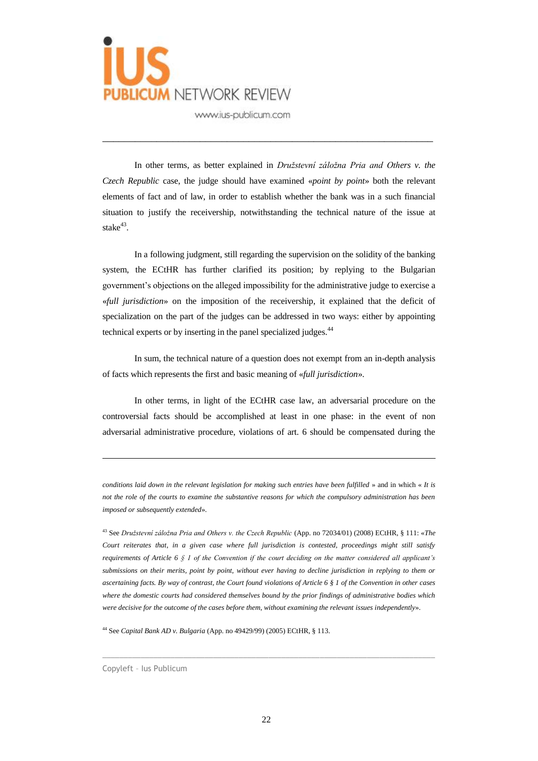

In other terms, as better explained in *Družstevní záložna Pria and Others v. the Czech Republic* case, the judge should have examined «*point by point*» both the relevant elements of fact and of law, in order to establish whether the bank was in a such financial situation to justify the receivership, notwithstanding the technical nature of the issue at stake $43$ .

\_\_\_\_\_\_\_\_\_\_\_\_\_\_\_\_\_\_\_\_\_\_\_\_\_\_\_\_\_\_\_\_\_\_\_\_\_\_\_\_\_\_\_\_\_\_\_\_\_\_\_\_\_\_\_\_\_\_\_\_\_

In a following judgment, still regarding the supervision on the solidity of the banking system, the ECtHR has further clarified its position; by replying to the Bulgarian government's objections on the alleged impossibility for the administrative judge to exercise a «*full jurisdiction*» on the imposition of the receivership, it explained that the deficit of specialization on the part of the judges can be addressed in two ways: either by appointing technical experts or by inserting in the panel specialized judges.<sup>44</sup>

In sum, the technical nature of a question does not exempt from an in-depth analysis of facts which represents the first and basic meaning of «*full jurisdiction*».

In other terms, in light of the ECtHR case law, an adversarial procedure on the controversial facts should be accomplished at least in one phase: in the event of non adversarial administrative procedure, violations of art. 6 should be compensated during the

*conditions laid down in the relevant legislation for making such entries have been fulfilled* » and in which « *It is not the role of the courts to examine the substantive reasons for which the compulsory administration has been imposed or subsequently extended*».

<sup>43</sup> See *Družstevní záložna Pria and Others v. the Czech Republic* (App. no 72034/01) (2008) ECtHR, § 111: «*The Court reiterates that, in a given case where full jurisdiction is contested, proceedings might still satisfy requirements of Article 6 § 1 of the Convention if the court deciding on the matter considered all applicant's submissions on their merits, point by point, without ever having to decline jurisdiction in replying to them or ascertaining facts. By way of contrast, the Court found violations of Article 6 § 1 of the Convention in other cases where the domestic courts had considered themselves bound by the prior findings of administrative bodies which were decisive for the outcome of the cases before them, without examining the relevant issues independently*».

<sup>44</sup> See *Capital Bank AD v. Bulgaria* (App. no 49429/99) (2005) ECtHR, § 113.

 $\overline{a}$ 

 $\_$  , and the set of the set of the set of the set of the set of the set of the set of the set of the set of the set of the set of the set of the set of the set of the set of the set of the set of the set of the set of th

Copyleft – Ius Publicum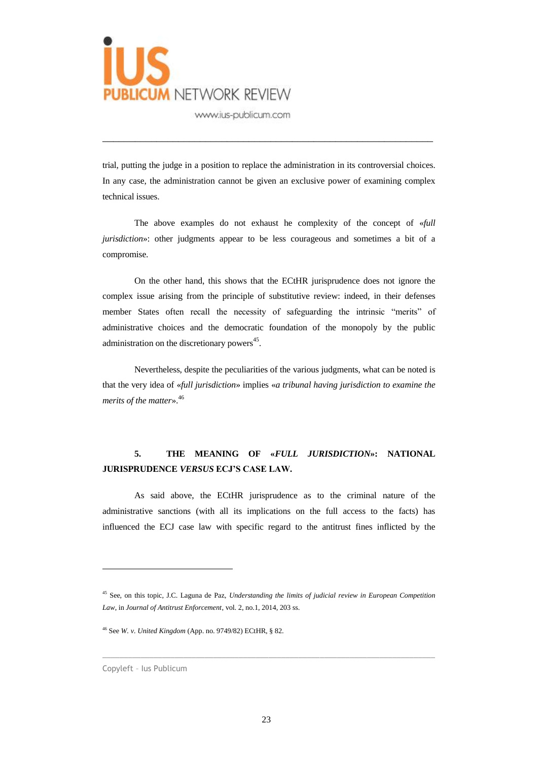

trial, putting the judge in a position to replace the administration in its controversial choices. In any case, the administration cannot be given an exclusive power of examining complex technical issues.

\_\_\_\_\_\_\_\_\_\_\_\_\_\_\_\_\_\_\_\_\_\_\_\_\_\_\_\_\_\_\_\_\_\_\_\_\_\_\_\_\_\_\_\_\_\_\_\_\_\_\_\_\_\_\_\_\_\_\_\_\_

The above examples do not exhaust he complexity of the concept of «*full jurisdiction*»: other judgments appear to be less courageous and sometimes a bit of a compromise.

On the other hand, this shows that the ECtHR jurisprudence does not ignore the complex issue arising from the principle of substitutive review: indeed, in their defenses member States often recall the necessity of safeguarding the intrinsic "merits" of administrative choices and the democratic foundation of the monopoly by the public administration on the discretionary powers<sup>45</sup>.

Nevertheless, despite the peculiarities of the various judgments, what can be noted is that the very idea of «*full jurisdiction*» implies «*a tribunal having jurisdiction to examine the merits of the matter*». 46

### **5. THE MEANING OF «***FULL JURISDICTION***»: NATIONAL JURISPRUDENCE** *VERSUS* **ECJ'S CASE LAW.**

As said above, the ECtHR jurisprudence as to the criminal nature of the administrative sanctions (with all its implications on the full access to the facts) has influenced the ECJ case law with specific regard to the antitrust fines inflicted by the

 $\_$  , and the set of the set of the set of the set of the set of the set of the set of the set of the set of the set of the set of the set of the set of the set of the set of the set of the set of the set of the set of th

<sup>45</sup> See, on this topic, J.C. Laguna de Paz, *Understanding the limits of judicial review in European Competition Law*, in *Journal of Antitrust Enforcement*, vol. 2, no.1, 2014, 203 ss.

<sup>46</sup> See *W. v. United Kingdom* (App. no. 9749/82) ECtHR, § 82.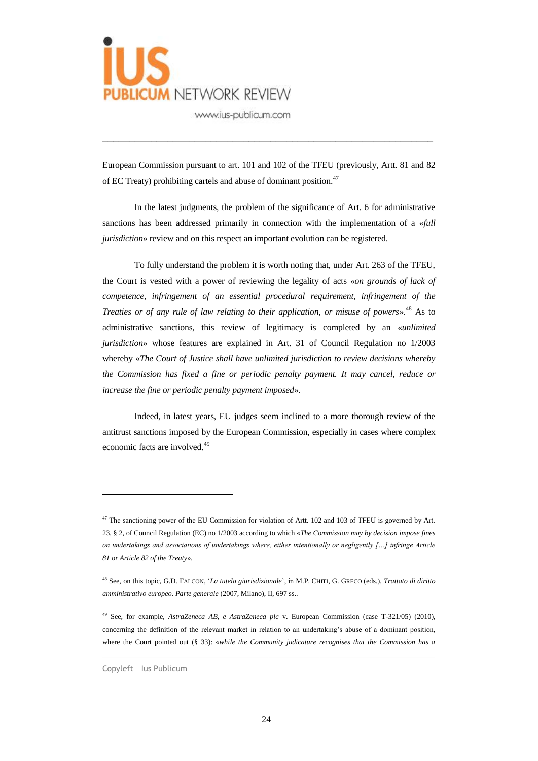

European Commission pursuant to art. 101 and 102 of the TFEU (previously, Artt. 81 and 82 of EC Treaty) prohibiting cartels and abuse of dominant position.<sup>47</sup>

\_\_\_\_\_\_\_\_\_\_\_\_\_\_\_\_\_\_\_\_\_\_\_\_\_\_\_\_\_\_\_\_\_\_\_\_\_\_\_\_\_\_\_\_\_\_\_\_\_\_\_\_\_\_\_\_\_\_\_\_\_

In the latest judgments, the problem of the significance of Art. 6 for administrative sanctions has been addressed primarily in connection with the implementation of a «*full jurisdiction*» review and on this respect an important evolution can be registered.

To fully understand the problem it is worth noting that, under Art. 263 of the TFEU, the Court is vested with a power of reviewing the legality of acts «*on grounds of lack of competence, infringement of an essential procedural requirement, infringement of the Treaties or of any rule of law relating to their application, or misuse of powers*». <sup>48</sup> As to administrative sanctions, this review of legitimacy is completed by an «*unlimited jurisdiction*» whose features are explained in Art. 31 of Council Regulation no 1/2003 whereby «*The Court of Justice shall have unlimited jurisdiction to review decisions whereby the Commission has fixed a fine or periodic penalty payment. It may cancel, reduce or increase the fine or periodic penalty payment imposed*».

Indeed, in latest years, EU judges seem inclined to a more thorough review of the antitrust sanctions imposed by the European Commission, especially in cases where complex economic facts are involved.<sup>49</sup>

 $\_$  , and the set of the set of the set of the set of the set of the set of the set of the set of the set of the set of the set of the set of the set of the set of the set of the set of the set of the set of the set of th

 $47$  The sanctioning power of the EU Commission for violation of Artt. 102 and 103 of TFEU is governed by Art. 23, § 2, of Council Regulation (EC) no 1/2003 according to which «*The Commission may by decision impose fines on undertakings and associations of undertakings where, either intentionally or negligently […] infringe Article 81 or Article 82 of the Treaty*».

<sup>48</sup> See, on this topic, G.D. FALCON, '*La tutela giurisdizionale*', in M.P. CHITI, G. GRECO (eds.), *Trattato di diritto amministrativo europeo. Parte generale* (2007, Milano), II, 697 ss..

<sup>49</sup> See, for example, *AstraZeneca AB, e AstraZeneca plc* v. European Commission (case T-321/05) (2010), concerning the definition of the relevant market in relation to an undertaking's abuse of a dominant position, where the Court pointed out (§ 33): «*while the Community judicature recognises that the Commission has a*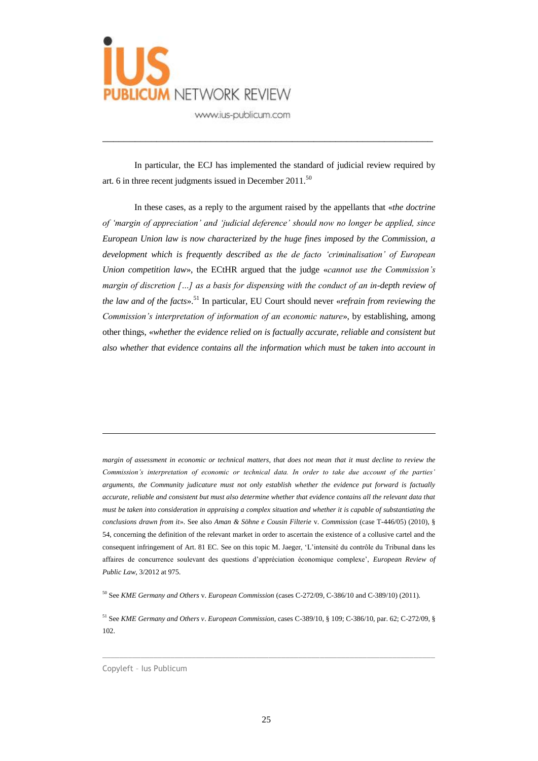

In particular, the ECJ has implemented the standard of judicial review required by art. 6 in three recent judgments issued in December  $2011$ .<sup>50</sup>

\_\_\_\_\_\_\_\_\_\_\_\_\_\_\_\_\_\_\_\_\_\_\_\_\_\_\_\_\_\_\_\_\_\_\_\_\_\_\_\_\_\_\_\_\_\_\_\_\_\_\_\_\_\_\_\_\_\_\_\_\_

In these cases, as a reply to the argument raised by the appellants that «*the doctrine of 'margin of appreciation' and 'judicial deference' should now no longer be applied, since European Union law is now characterized by the huge fines imposed by the Commission, a development which is frequently described as the de facto 'criminalisation' of European Union competition law*», the ECtHR argued that the judge «*cannot use the Commission's margin of discretion […] as a basis for dispensing with the conduct of an in-depth review of the law and of the facts*». <sup>51</sup> In particular, EU Court should never «*refrain from reviewing the Commission's interpretation of information of an economic nature*», by establishing, among other things, «*whether the evidence relied on is factually accurate, reliable and consistent but also whether that evidence contains all the information which must be taken into account in* 

*margin of assessment in economic or technical matters, that does not mean that it must decline to review the Commission's interpretation of economic or technical data. In order to take due account of the parties' arguments, the Community judicature must not only establish whether the evidence put forward is factually accurate, reliable and consistent but must also determine whether that evidence contains all the relevant data that must be taken into consideration in appraising a complex situation and whether it is capable of substantiating the conclusions drawn from it*». See also *Aman & Söhne e Cousin Filterie* v. *Commission* (case T-446/05) (2010), § 54, concerning the definition of the relevant market in order to ascertain the existence of a collusive cartel and the consequent infringement of Art. 81 EC. See on this topic M. Jaeger, 'L'intensité du contrôle du Tribunal dans les affaires de concurrence soulevant des questions d'appréciation économique complexe', *European Review of Public Law*, 3/2012 at 975.

<sup>50</sup> See *KME Germany and Others* v. *European Commission* (cases C-272/09, C-386/10 and C-389/10) (2011).

<sup>51</sup> See *KME Germany and Others v*. *European Commission*, cases C-389/10, § 109; C-386/10, par. 62; C-272/09, § 102.

 $\_$  , and the set of the set of the set of the set of the set of the set of the set of the set of the set of the set of the set of the set of the set of the set of the set of the set of the set of the set of the set of th

Copyleft – Ius Publicum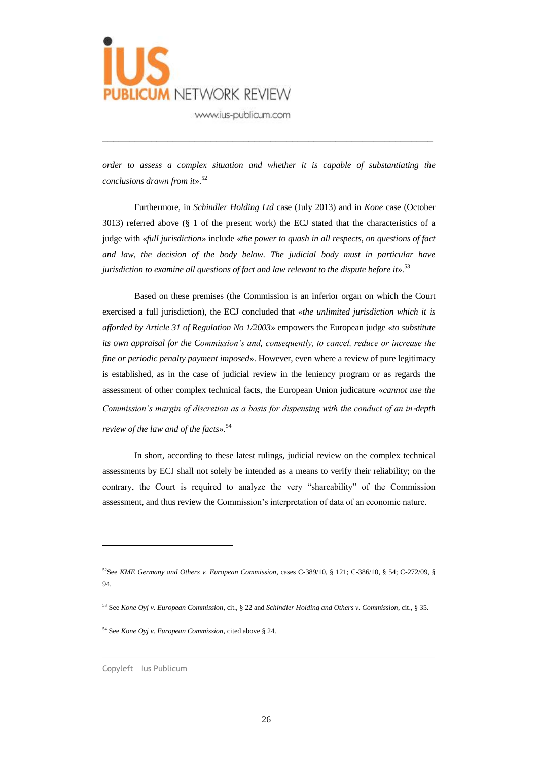

*order to assess a complex situation and whether it is capable of substantiating the conclusions drawn from it*». 52

\_\_\_\_\_\_\_\_\_\_\_\_\_\_\_\_\_\_\_\_\_\_\_\_\_\_\_\_\_\_\_\_\_\_\_\_\_\_\_\_\_\_\_\_\_\_\_\_\_\_\_\_\_\_\_\_\_\_\_\_\_

Furthermore, in *Schindler Holding Ltd* case (July 2013) and in *Kone* case (October 3013) referred above (§ 1 of the present work) the ECJ stated that the characteristics of a judge with «*full jurisdiction*» include «*the power to quash in all respects, on questions of fact and law, the decision of the body below. The judicial body must in particular have jurisdiction to examine all questions of fact and law relevant to the dispute before it*». 53

Based on these premises (the Commission is an inferior organ on which the Court exercised a full jurisdiction), the ECJ concluded that «*the unlimited jurisdiction which it is afforded by Article 31 of Regulation No 1/2003*» empowers the European judge «*to substitute its own appraisal for the Commission's and, consequently, to cancel, reduce or increase the fine or periodic penalty payment imposed*». However, even where a review of pure legitimacy is established, as in the case of judicial review in the leniency program or as regards the assessment of other complex technical facts, the European Union judicature «*cannot use the Commission's margin of discretion as a basis for dispensing with the conduct of an in-depth review of the law and of the facts*». 54

In short, according to these latest rulings, judicial review on the complex technical assessments by ECJ shall not solely be intended as a means to verify their reliability; on the contrary, the Court is required to analyze the very "shareability" of the Commission assessment, and thus review the Commission's interpretation of data of an economic nature.

 $\_$  , and the set of the set of the set of the set of the set of the set of the set of the set of the set of the set of the set of the set of the set of the set of the set of the set of the set of the set of the set of th

<sup>52</sup>See *KME Germany and Others v. European Commission*, cases C-389/10, § 121; C-386/10, § 54; C-272/09, § 94.

<sup>53</sup> See *Kone Oyj v. European Commission*, cit., § 22 and *Schindler Holding and Others v. Commission*, cit., § 35.

<sup>54</sup> See *Kone Oyj v. European Commission*, cited above § 24.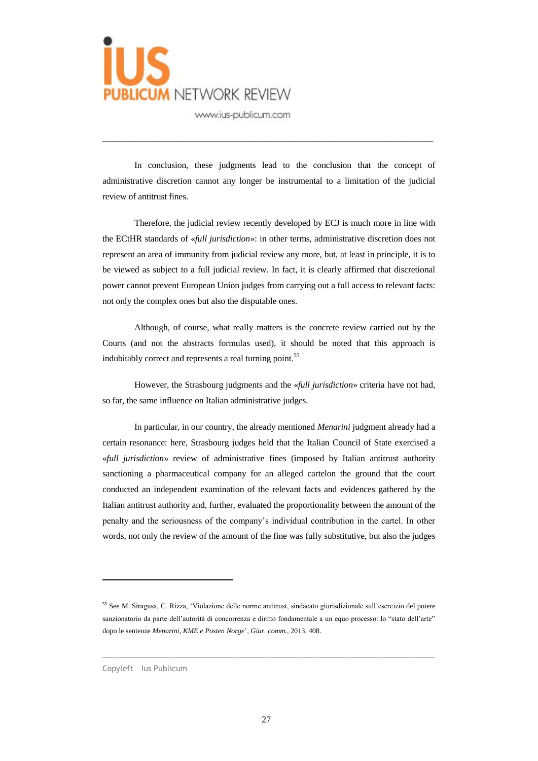

In conclusion, these judgments lead to the conclusion that the concept of administrative discretion cannot any longer be instrumental to a limitation of the judicial review of antitrust fines.

\_\_\_\_\_\_\_\_\_\_\_\_\_\_\_\_\_\_\_\_\_\_\_\_\_\_\_\_\_\_\_\_\_\_\_\_\_\_\_\_\_\_\_\_\_\_\_\_\_\_\_\_\_\_\_\_\_\_\_\_\_

Therefore, the judicial review recently developed by ECJ is much more in line with the ECtHR standards of «*full jurisdiction*»: in other terms, administrative discretion does not represent an area of immunity from judicial review any more, but, at least in principle, it is to be viewed as subject to a full judicial review. In fact, it is clearly affirmed that discretional power cannot prevent European Union judges from carrying out a full access to relevant facts: not only the complex ones but also the disputable ones.

Although, of course, what really matters is the concrete review carried out by the Courts (and not the abstracts formulas used), it should be noted that this approach is indubitably correct and represents a real turning point.<sup>55</sup>

However, the Strasbourg judgments and the «*full jurisdiction*» criteria have not had, so far, the same influence on Italian administrative judges.

In particular, in our country, the already mentioned *Menarini* judgment already had a certain resonance: here, Strasbourg judges held that the Italian Council of State exercised a «*full jurisdiction*» review of administrative fines (imposed by Italian antitrust authority sanctioning a pharmaceutical company for an alleged cartelon the ground that the court conducted an independent examination of the relevant facts and evidences gathered by the Italian antitrust authority and, further, evaluated the proportionality between the amount of the penalty and the seriousness of the company's individual contribution in the cartel. In other words, not only the review of the amount of the fine was fully substitutive, but also the judges

 $\_$  , and the set of the set of the set of the set of the set of the set of the set of the set of the set of the set of the set of the set of the set of the set of the set of the set of the set of the set of the set of th

<sup>55</sup> See M. Siragusa, C. Rizza, 'Violazione delle norme antitrust, sindacato giurisdizionale sull'esercizio del potere sanzionatorio da parte dell'autorità di concorrenza e diritto fondamentale a un equo processo: lo "stato dell'arte" dopo le sentenze *Menarini, KME e Posten Norge*', *Giur. comm.*, 2013, 408.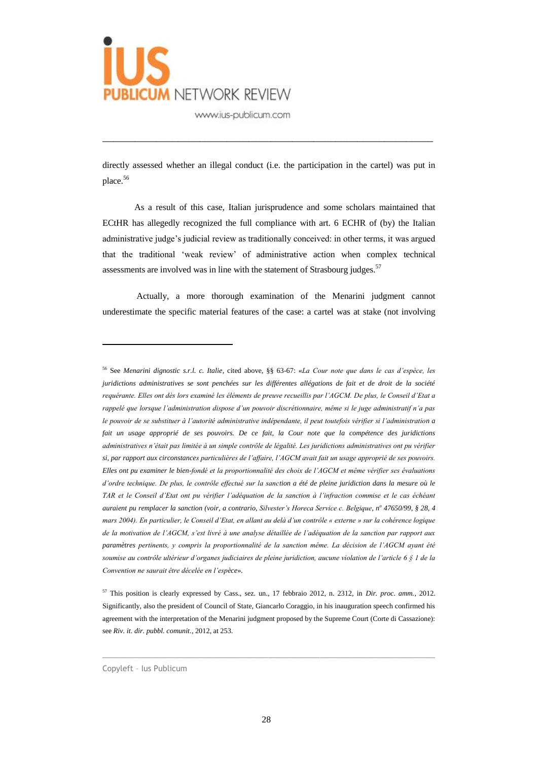

directly assessed whether an illegal conduct (i.e. the participation in the cartel) was put in place.<sup>56</sup>

\_\_\_\_\_\_\_\_\_\_\_\_\_\_\_\_\_\_\_\_\_\_\_\_\_\_\_\_\_\_\_\_\_\_\_\_\_\_\_\_\_\_\_\_\_\_\_\_\_\_\_\_\_\_\_\_\_\_\_\_\_

As a result of this case, Italian jurisprudence and some scholars maintained that ECtHR has allegedly recognized the full compliance with art. 6 ECHR of (by) the Italian administrative judge's judicial review as traditionally conceived: in other terms, it was argued that the traditional 'weak review' of administrative action when complex technical assessments are involved was in line with the statement of Strasbourg judges.<sup>57</sup>

Actually, a more thorough examination of the Menarini judgment cannot underestimate the specific material features of the case: a cartel was at stake (not involving

 $\_$  ,  $\_$  ,  $\_$  ,  $\_$  ,  $\_$  ,  $\_$  ,  $\_$  ,  $\_$  ,  $\_$  ,  $\_$  ,  $\_$  ,  $\_$  ,  $\_$  ,  $\_$  ,  $\_$  ,  $\_$  ,  $\_$  ,  $\_$  ,  $\_$  ,  $\_$  ,  $\_$  ,  $\_$  ,  $\_$  ,  $\_$  ,  $\_$  ,  $\_$  ,  $\_$  ,  $\_$  ,  $\_$  ,  $\_$  ,  $\_$  ,  $\_$  ,  $\_$  ,  $\_$  ,  $\_$  ,  $\_$  ,  $\_$  ,

<sup>56</sup> See *Menarini dignostic s.r.l. c. Italie*, cited above, §§ 63-67: «*La Cour note que dans le cas d'espèce, les juridictions administratives se sont penchées sur les différentes allégations de fait et de droit de la société requérante. Elles ont dès lors examiné les éléments de preuve recueillis par l'AGCM. De plus, le Conseil d'Etat a rappelé que lorsque l'administration dispose d'un pouvoir discrétionnaire, même si le juge administratif n'a pas le pouvoir de se substituer à l'autorité administrative indépendante, il peut toutefois vérifier si l'administration a fait un usage approprié de ses pouvoirs. De ce fait, la Cour note que la compétence des juridictions administratives n'était pas limitée à un simple contrôle de légalité. Les juridictions administratives ont pu vérifier si, par rapport aux circonstances particulières de l'affaire, l'AGCM avait fait un usage approprié de ses pouvoirs. Elles ont pu examiner le bien-fondé et la proportionnalité des choix de l'AGCM et même vérifier ses évaluations d'ordre technique. De plus, le contrôle effectué sur la sanction a été de pleine juridiction dans la mesure où le TAR et le Conseil d'Etat ont pu vérifier l'adéquation de la sanction à l'infraction commise et le cas échéant auraient pu remplacer la sanction (voir, a contrario, Silvester's Horeca Service c. Belgique, n<sup>o</sup> 47650/99, § 28, 4 mars 2004). En particulier, le Conseil d'Etat, en allant au delà d'un contrôle « externe » sur la cohérence logique de la motivation de l'AGCM, s'est livré à une analyse détaillée de l'adéquation de la sanction par rapport aux paramètres pertinents, y compris la proportionnalité de la sanction même. La décision de l'AGCM ayant été soumise au contrôle ultérieur d'organes judiciaires de pleine juridiction, aucune violation de l'article 6 § 1 de la Convention ne saurait être décelée en l'espèce*».

<sup>57</sup> This position is clearly expressed by Cass., sez. un., 17 febbraio 2012, n. 2312, in *Dir. proc. amm.*, 2012. Significantly, also the president of Council of State, Giancarlo Coraggio, in his inauguration speech confirmed his agreement with the interpretation of the Menarini judgment proposed by the Supreme Court (Corte di Cassazione): see *Riv. it. dir. pubbl. comunit.*, 2012, at 253.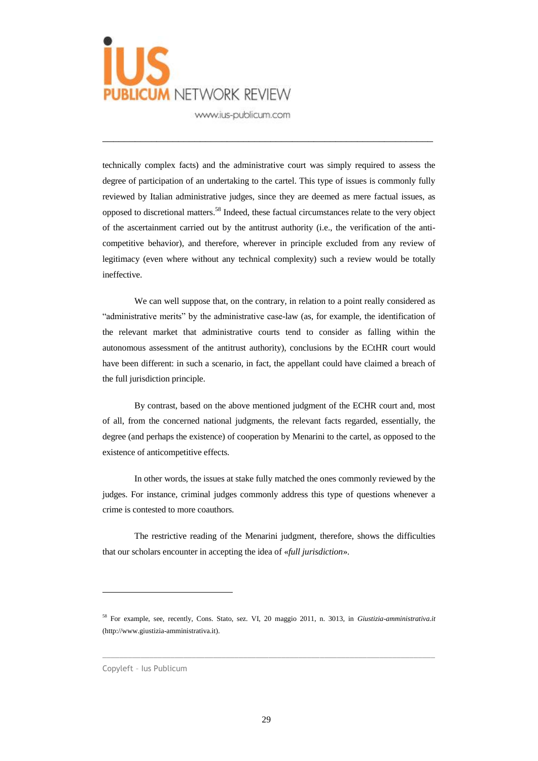

technically complex facts) and the administrative court was simply required to assess the degree of participation of an undertaking to the cartel. This type of issues is commonly fully reviewed by Italian administrative judges, since they are deemed as mere factual issues, as opposed to discretional matters.<sup>58</sup> Indeed, these factual circumstances relate to the very object of the ascertainment carried out by the antitrust authority (i.e., the verification of the anticompetitive behavior), and therefore, wherever in principle excluded from any review of legitimacy (even where without any technical complexity) such a review would be totally ineffective.

\_\_\_\_\_\_\_\_\_\_\_\_\_\_\_\_\_\_\_\_\_\_\_\_\_\_\_\_\_\_\_\_\_\_\_\_\_\_\_\_\_\_\_\_\_\_\_\_\_\_\_\_\_\_\_\_\_\_\_\_\_

We can well suppose that, on the contrary, in relation to a point really considered as "administrative merits" by the administrative case-law (as, for example, the identification of the relevant market that administrative courts tend to consider as falling within the autonomous assessment of the antitrust authority), conclusions by the ECtHR court would have been different: in such a scenario, in fact, the appellant could have claimed a breach of the full jurisdiction principle.

By contrast, based on the above mentioned judgment of the ECHR court and, most of all, from the concerned national judgments, the relevant facts regarded, essentially, the degree (and perhaps the existence) of cooperation by Menarini to the cartel, as opposed to the existence of anticompetitive effects.

In other words, the issues at stake fully matched the ones commonly reviewed by the judges. For instance, criminal judges commonly address this type of questions whenever a crime is contested to more coauthors.

The restrictive reading of the Menarini judgment, therefore, shows the difficulties that our scholars encounter in accepting the idea of «*full jurisdiction*».

 $\_$  ,  $\_$  ,  $\_$  ,  $\_$  ,  $\_$  ,  $\_$  ,  $\_$  ,  $\_$  ,  $\_$  ,  $\_$  ,  $\_$  ,  $\_$  ,  $\_$  ,  $\_$  ,  $\_$  ,  $\_$  ,  $\_$  ,  $\_$  ,  $\_$  ,  $\_$  ,  $\_$  ,  $\_$  ,  $\_$  ,  $\_$  ,  $\_$  ,  $\_$  ,  $\_$  ,  $\_$  ,  $\_$  ,  $\_$  ,  $\_$  ,  $\_$  ,  $\_$  ,  $\_$  ,  $\_$  ,  $\_$  ,  $\_$  ,

<sup>58</sup> For example, see, recently, Cons. Stato, sez. VI, 20 maggio 2011, n. 3013, in *Giustizia-amministrativa.it*  (http://www.giustizia-amministrativa.it).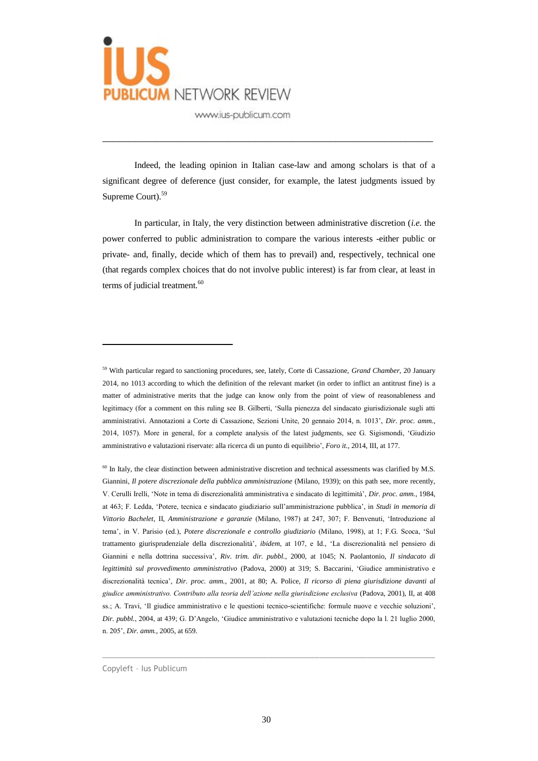

Indeed, the leading opinion in Italian case-law and among scholars is that of a significant degree of deference (just consider, for example, the latest judgments issued by Supreme Court).<sup>59</sup>

\_\_\_\_\_\_\_\_\_\_\_\_\_\_\_\_\_\_\_\_\_\_\_\_\_\_\_\_\_\_\_\_\_\_\_\_\_\_\_\_\_\_\_\_\_\_\_\_\_\_\_\_\_\_\_\_\_\_\_\_\_

In particular, in Italy, the very distinction between administrative discretion (*i.e.* the power conferred to public administration to compare the various interests -either public or private- and, finally, decide which of them has to prevail) and, respectively, technical one (that regards complex choices that do not involve public interest) is far from clear, at least in terms of judicial treatment.<sup>60</sup>

 $\overline{a}$ 

 $\_$  ,  $\_$  ,  $\_$  ,  $\_$  ,  $\_$  ,  $\_$  ,  $\_$  ,  $\_$  ,  $\_$  ,  $\_$  ,  $\_$  ,  $\_$  ,  $\_$  ,  $\_$  ,  $\_$  ,  $\_$  ,  $\_$  ,  $\_$  ,  $\_$  ,  $\_$  ,  $\_$  ,  $\_$  ,  $\_$  ,  $\_$  ,  $\_$  ,  $\_$  ,  $\_$  ,  $\_$  ,  $\_$  ,  $\_$  ,  $\_$  ,  $\_$  ,  $\_$  ,  $\_$  ,  $\_$  ,  $\_$  ,  $\_$  ,

<sup>59</sup> With particular regard to sanctioning procedures, see, lately, Corte di Cassazione, *Grand Chamber*, 20 January 2014, no 1013 according to which the definition of the relevant market (in order to inflict an antitrust fine) is a matter of administrative merits that the judge can know only from the point of view of reasonableness and legitimacy (for a comment on this ruling see B. Gilberti, 'Sulla pienezza del sindacato giurisdizionale sugli atti amministrativi. Annotazioni a Corte di Cassazione, Sezioni Unite, 20 gennaio 2014, n. 1013', *Dir. proc. amm.*, 2014, 1057). More in general, for a complete analysis of the latest judgments, see G. Sigismondi, 'Giudizio amministrativo e valutazioni riservate: alla ricerca di un punto di equilibrio', *Foro it.*, 2014, III, at 177.

<sup>&</sup>lt;sup>60</sup> In Italy, the clear distinction between administrative discretion and technical assessments was clarified by M.S. Giannini, *Il potere discrezionale della pubblica amministrazione* (Milano, 1939); on this path see, more recently, V. Cerulli Irelli, 'Note in tema di discrezionalità amministrativa e sindacato di legittimità', *Dir. proc. amm.*, 1984, at 463; F. Ledda, 'Potere, tecnica e sindacato giudiziario sull'amministrazione pubblica', in *Studi in memoria di Vittorio Bachelet*, II, *Amministrazione e garanzie* (Milano, 1987) at 247, 307; F. Benvenuti, 'Introduzione al tema', in V. Parisio (ed.), *Potere discrezionale e controllo giudiziario* (Milano, 1998), at 1; F.G. Scoca, 'Sul trattamento giurisprudenziale della discrezionalità', *ibidem*, at 107, e Id., 'La discrezionalità nel pensiero di Giannini e nella dottrina successiva', *Riv. trim. dir. pubbl.*, 2000, at 1045; N. Paolantonio, *Il sindacato di legittimità sul provvedimento amministrativo* (Padova, 2000) at 319; S. Baccarini, 'Giudice amministrativo e discrezionalità tecnica', *Dir. proc. amm.*, 2001, at 80; A. Police, *Il ricorso di piena giurisdizione davanti al giudice amministrativo. Contributo alla teoria dell'azione nella giurisdizione esclusiva* (Padova, 2001), II, at 408 ss.; A. Travi, 'Il giudice amministrativo e le questioni tecnico-scientifiche: formule nuove e vecchie soluzioni', *Dir. pubbl.*, 2004, at 439; G. D'Angelo, 'Giudice amministrativo e valutazioni tecniche dopo la l. 21 luglio 2000, n. 205', *Dir. amm.*, 2005, at 659.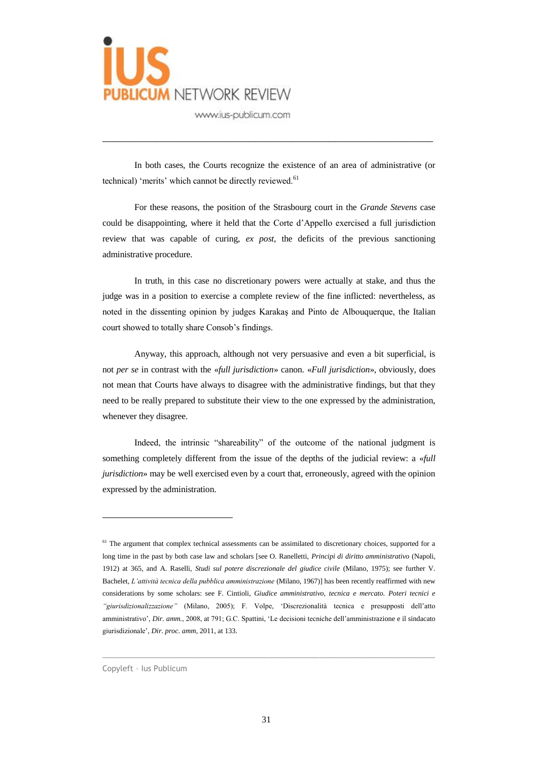

In both cases, the Courts recognize the existence of an area of administrative (or technical) 'merits' which cannot be directly reviewed.<sup>61</sup>

\_\_\_\_\_\_\_\_\_\_\_\_\_\_\_\_\_\_\_\_\_\_\_\_\_\_\_\_\_\_\_\_\_\_\_\_\_\_\_\_\_\_\_\_\_\_\_\_\_\_\_\_\_\_\_\_\_\_\_\_\_

For these reasons, the position of the Strasbourg court in the *Grande Stevens* case could be disappointing, where it held that the Corte d'Appello exercised a full jurisdiction review that was capable of curing, *ex post*, the deficits of the previous sanctioning administrative procedure.

In truth, in this case no discretionary powers were actually at stake, and thus the judge was in a position to exercise a complete review of the fine inflicted: nevertheless, as noted in the dissenting opinion by judges Karakaş and Pinto de Albouquerque, the Italian court showed to totally share Consob's findings.

Anyway, this approach, although not very persuasive and even a bit superficial, is not *per se* in contrast with the «*full jurisdiction*» canon. «*Full jurisdiction*», obviously, does not mean that Courts have always to disagree with the administrative findings, but that they need to be really prepared to substitute their view to the one expressed by the administration, whenever they disagree.

Indeed, the intrinsic "shareability" of the outcome of the national judgment is something completely different from the issue of the depths of the judicial review: a «*full jurisdiction*» may be well exercised even by a court that, erroneously, agreed with the opinion expressed by the administration.

 $\_$  ,  $\_$  ,  $\_$  ,  $\_$  ,  $\_$  ,  $\_$  ,  $\_$  ,  $\_$  ,  $\_$  ,  $\_$  ,  $\_$  ,  $\_$  ,  $\_$  ,  $\_$  ,  $\_$  ,  $\_$  ,  $\_$  ,  $\_$  ,  $\_$  ,  $\_$  ,  $\_$  ,  $\_$  ,  $\_$  ,  $\_$  ,  $\_$  ,  $\_$  ,  $\_$  ,  $\_$  ,  $\_$  ,  $\_$  ,  $\_$  ,  $\_$  ,  $\_$  ,  $\_$  ,  $\_$  ,  $\_$  ,  $\_$  ,

<sup>&</sup>lt;sup>61</sup> The argument that complex technical assessments can be assimilated to discretionary choices, supported for a long time in the past by both case law and scholars [see O. Ranelletti, *Principi di diritto amministrativo* (Napoli, 1912) at 365, and A. Raselli, *Studi sul potere discrezionale del giudice civile* (Milano, 1975); see further V. Bachelet, *L'attività tecnica della pubblica amministrazione* (Milano, 1967)] has been recently reaffirmed with new considerations by some scholars: see F. Cintioli, *Giudice amministrativo, tecnica e mercato. Poteri tecnici e "giurisdizionalizzazione"* (Milano, 2005); F. Volpe, 'Discrezionalità tecnica e presupposti dell'atto amministrativo', *Dir. amm.*, 2008, at 791; G.C. Spattini, 'Le decisioni tecniche dell'amministrazione e il sindacato giurisdizionale', *Dir. proc. amm*, 2011, at 133.